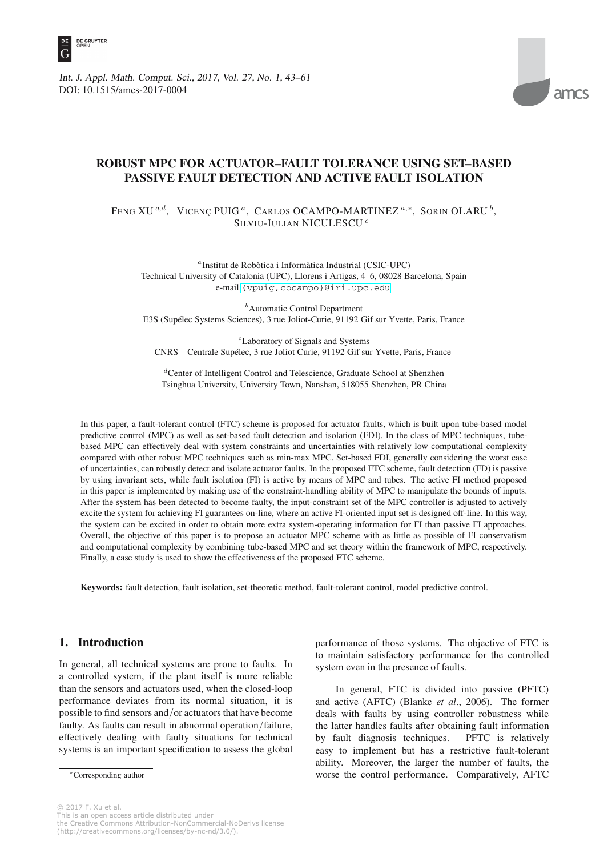



# **ROBUST MPC FOR ACTUATOR–FAULT TOLERANCE USING SET–BASED PASSIVE FAULT DETECTION AND ACTIVE FAULT ISOLATION**

FENG XU  $^{a,d}$ , VICENC PUIG<sup>a</sup>, CARLOS OCAMPO-MARTINEZ<sup> $a,*$ </sup>, SORIN OLARU<sup>b</sup>, SILVIU-IULIAN NICULESCU<sup>c</sup>

*<sup>a</sup>*Institut de Robòtica i Informàtica Industrial (CSIC-UPC) Technical University of Catalonia (UPC), Llorens i Artigas, 4–6, 08028 Barcelona, Spain e-mail:<{vpuig,cocampo}@iri.upc.edu>

*b* Automatic Control Department E3S (Supélec Systems Sciences), 3 rue Joliot-Curie, 91192 Gif sur Yvette, Paris, France

*c* Laboratory of Signals and Systems CNRS—Centrale Supélec, 3 rue Joliot Curie, 91192 Gif sur Yvette, Paris, France

*<sup>d</sup>*Center of Intelligent Control and Telescience, Graduate School at Shenzhen Tsinghua University, University Town, Nanshan, 518055 Shenzhen, PR China

In this paper, a fault-tolerant control (FTC) scheme is proposed for actuator faults, which is built upon tube-based model predictive control (MPC) as well as set-based fault detection and isolation (FDI). In the class of MPC techniques, tubebased MPC can effectively deal with system constraints and uncertainties with relatively low computational complexity compared with other robust MPC techniques such as min-max MPC. Set-based FDI, generally considering the worst case of uncertainties, can robustly detect and isolate actuator faults. In the proposed FTC scheme, fault detection (FD) is passive by using invariant sets, while fault isolation (FI) is active by means of MPC and tubes. The active FI method proposed in this paper is implemented by making use of the constraint-handling ability of MPC to manipulate the bounds of inputs. After the system has been detected to become faulty, the input-constraint set of the MPC controller is adjusted to actively excite the system for achieving FI guarantees on-line, where an active FI-oriented input set is designed off-line. In this way, the system can be excited in order to obtain more extra system-operating information for FI than passive FI approaches. Overall, the objective of this paper is to propose an actuator MPC scheme with as little as possible of FI conservatism and computational complexity by combining tube-based MPC and set theory within the framework of MPC, respectively. Finally, a case study is used to show the effectiveness of the proposed FTC scheme.

**Keywords:** fault detection, fault isolation, set-theoretic method, fault-tolerant control, model predictive control.

## **1. Introduction**

In general, all technical systems are prone to faults. In a controlled system, if the plant itself is more reliable than the sensors and actuators used, when the closed-loop performance deviates from its normal situation, it is possible to find sensors and/or actuators that have become faulty. As faults can result in abnormal operation/failure, effectively dealing with faulty situations for technical systems is an important specification to assess the global

∗Corresponding author

performance of those systems. The objective of FTC is to maintain satisfactory performance for the controlled system even in the presence of faults.

In general, FTC is divided into passive (PFTC) and active (AFTC) (Blanke *et al*., 2006). The former deals with faults by using controller robustness while the latter handles faults after obtaining fault information by fault diagnosis techniques. PFTC is relatively easy to implement but has a restrictive fault-tolerant ability. Moreover, the larger the number of faults, the worse the control performance. Comparatively, AFTC

© 2017 F. Xu et al. This is an open access article distributed under the Creative Commons Attribution-NonCommercial-NoDerivs license (http://creativecommons.org/licenses/by-nc-nd/3.0/).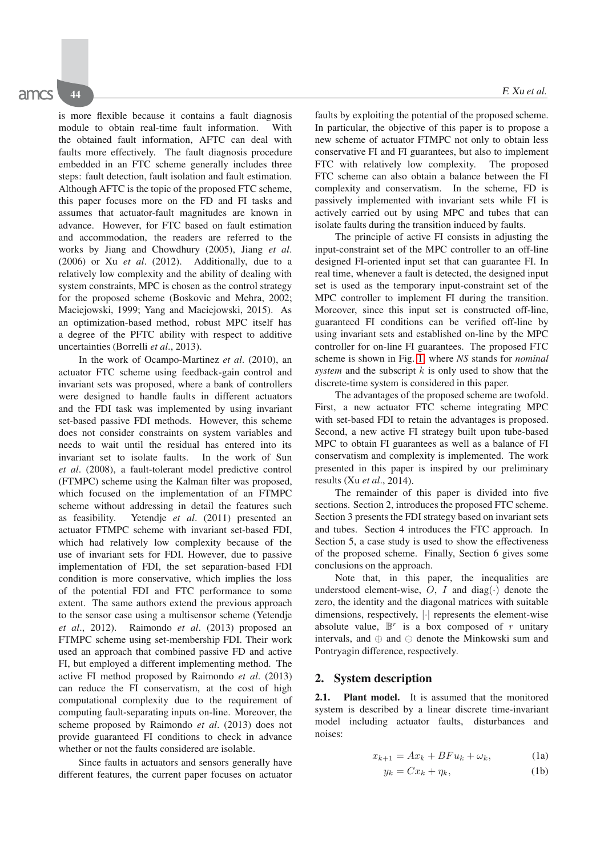is more flexible because it contains a fault diagnosis module to obtain real-time fault information. With the obtained fault information, AFTC can deal with faults more effectively. The fault diagnosis procedure embedded in an FTC scheme generally includes three steps: fault detection, fault isolation and fault estimation. Although AFTC is the topic of the proposed FTC scheme, this paper focuses more on the FD and FI tasks and assumes that actuator-fault magnitudes are known in advance. However, for FTC based on fault estimation and accommodation, the readers are referred to the works by Jiang and Chowdhury (2005), Jiang *et al*. (2006) or Xu *et al*. (2012). Additionally, due to a relatively low complexity and the ability of dealing with system constraints, MPC is chosen as the control strategy for the proposed scheme (Boskovic and Mehra, 2002; Maciejowski, 1999; Yang and Maciejowski, 2015). As an optimization-based method, robust MPC itself has a degree of the PFTC ability with respect to additive uncertainties (Borrelli *et al*., 2013).

In the work of Ocampo-Martinez *et al*. (2010), an actuator FTC scheme using feedback-gain control and invariant sets was proposed, where a bank of controllers were designed to handle faults in different actuators and the FDI task was implemented by using invariant set-based passive FDI methods. However, this scheme does not consider constraints on system variables and needs to wait until the residual has entered into its invariant set to isolate faults. In the work of Sun *et al*. (2008), a fault-tolerant model predictive control (FTMPC) scheme using the Kalman filter was proposed, which focused on the implementation of an FTMPC scheme without addressing in detail the features such as feasibility. Yetendje *et al*. (2011) presented an actuator FTMPC scheme with invariant set-based FDI, which had relatively low complexity because of the use of invariant sets for FDI. However, due to passive implementation of FDI, the set separation-based FDI condition is more conservative, which implies the loss of the potential FDI and FTC performance to some extent. The same authors extend the previous approach to the sensor case using a multisensor scheme (Yetendje *et al*., 2012). Raimondo *et al*. (2013) proposed an FTMPC scheme using set-membership FDI. Their work used an approach that combined passive FD and active FI, but employed a different implementing method. The active FI method proposed by Raimondo *et al*. (2013) can reduce the FI conservatism, at the cost of high computational complexity due to the requirement of computing fault-separating inputs on-line. Moreover, the scheme proposed by Raimondo *et al*. (2013) does not provide guaranteed FI conditions to check in advance whether or not the faults considered are isolable.

Since faults in actuators and sensors generally have different features, the current paper focuses on actuator faults by exploiting the potential of the proposed scheme. In particular, the objective of this paper is to propose a new scheme of actuator FTMPC not only to obtain less conservative FI and FI guarantees, but also to implement FTC with relatively low complexity. The proposed FTC scheme can also obtain a balance between the FI complexity and conservatism. In the scheme, FD is passively implemented with invariant sets while FI is actively carried out by using MPC and tubes that can isolate faults during the transition induced by faults.

The principle of active FI consists in adjusting the input-constraint set of the MPC controller to an off-line designed FI-oriented input set that can guarantee FI. In real time, whenever a fault is detected, the designed input set is used as the temporary input-constraint set of the MPC controller to implement FI during the transition. Moreover, since this input set is constructed off-line, guaranteed FI conditions can be verified off-line by using invariant sets and established on-line by the MPC controller for on-line FI guarantees. The proposed FTC scheme is shown in Fig. 1, where *NS* stands for *nominal system* and the subscript  $k$  is only used to show that the discrete-time system is considered in this paper.

The advantages of the proposed scheme are twofold. First, a new actuator FTC scheme integrating MPC with set-based FDI to retain the advantages is proposed. Second, a new active FI strategy built upon tube-based MPC to obtain FI guarantees as well as a balance of FI conservatism and complexity is implemented. The work presented in this paper is inspired by our preliminary results (Xu *et al*., 2014).

The remainder of this paper is divided into five sections. Section 2, introduces the proposed FTC scheme. Section 3 presents the FDI strategy based on invariant sets and tubes. Section 4 introduces the FTC approach. In Section 5, a case study is used to show the effectiveness of the proposed scheme. Finally, Section 6 gives some conclusions on the approach.

Note that, in this paper, the inequalities are understood element-wise,  $O$ ,  $I$  and diag( $\cdot$ ) denote the zero, the identity and the diagonal matrices with suitable dimensions, respectively, |·| represents the element-wise absolute value,  $\mathbb{B}^r$  is a box composed of r unitary intervals, and  $\oplus$  and  $\ominus$  denote the Minkowski sum and Pontryagin difference, respectively.

#### **2. System description**

**2.1. Plant model.** It is assumed that the monitored system is described by a linear discrete time-invariant model including actuator faults, disturbances and noises:

$$
x_{k+1} = Ax_k + BFu_k + \omega_k, \tag{1a}
$$

$$
y_k = Cx_k + \eta_k,\tag{1b}
$$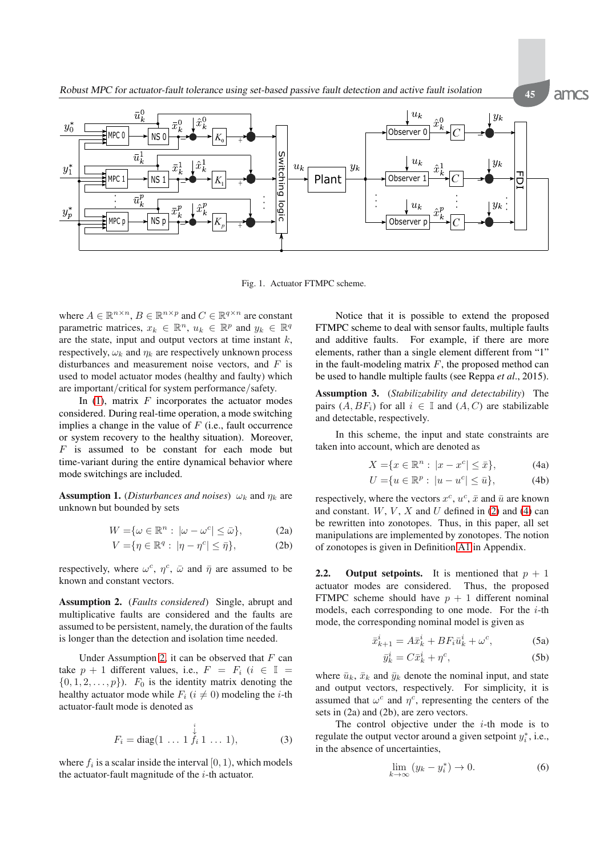



Fig. 1. Actuator FTMPC scheme.

where  $A \in \mathbb{R}^{n \times n}$ ,  $B \in \mathbb{R}^{n \times p}$  and  $C \in \mathbb{R}^{q \times n}$  are constant parametric matrices,  $x_k \in \mathbb{R}^n$ ,  $u_k \in \mathbb{R}^p$  and  $y_k \in \mathbb{R}^q$ are the state, input and output vectors at time instant  $k$ , respectively,  $\omega_k$  and  $\eta_k$  are respectively unknown process disturbances and measurement noise vectors, and  $F$  is used to model actuator modes (healthy and faulty) which are important/critical for system performance/safety.

In  $(1)$ , matrix F incorporates the actuator modes considered. During real-time operation, a mode switching implies a change in the value of  $F$  (i.e., fault occurrence or system recovery to the healthy situation). Moreover,  $F$  is assumed to be constant for each mode but time-variant during the entire dynamical behavior where mode switchings are included.

**Assumption 1.** (*Disturbances and noises*)  $\omega_k$  and  $\eta_k$  are unknown but bounded by sets

$$
W = \{ \omega \in \mathbb{R}^n : |\omega - \omega^c| \le \bar{\omega} \},\tag{2a}
$$

$$
V = \{ \eta \in \mathbb{R}^q : |\eta - \eta^c| \le \bar{\eta} \},\tag{2b}
$$

respectively, where  $\omega^c$ ,  $\eta^c$ ,  $\bar{\omega}$  and  $\bar{\eta}$  are assumed to be known and constant vectors.

**Assumption 2.** (*Faults considered*) Single, abrupt and multiplicative faults are considered and the faults are assumed to be persistent, namely, the duration of the faults is longer than the detection and isolation time needed.

Under Assumption 2, it can be observed that  $F$  can take  $p + 1$  different values, i.e.,  $F = F_i$  ( $i \in \mathbb{I}$  $\{0, 1, 2, \ldots, p\}$ ).  $F_0$  is the identity matrix denoting the healthy actuator mode while  $F_i$  ( $i \neq 0$ ) modeling the *i*-th actuator-fault mode is denoted as

$$
F_i = \text{diag}(1 \ \dots \ 1 \stackrel{i}{f_i} 1 \ \dots \ 1), \tag{3}
$$

where  $f_i$  is a scalar inside the interval  $[0, 1)$ , which models the actuator-fault magnitude of the  $i$ -th actuator.

Notice that it is possible to extend the proposed FTMPC scheme to deal with sensor faults, multiple faults and additive faults. For example, if there are more elements, rather than a single element different from "1" in the fault-modeling matrix  $F$ , the proposed method can be used to handle multiple faults (see Reppa *et al*., 2015).

**Assumption 3.** (*Stabilizability and detectability*) The pairs  $(A, BF_i)$  for all  $i \in \mathbb{I}$  and  $(A, C)$  are stabilizable and detectable, respectively.

In this scheme, the input and state constraints are taken into account, which are denoted as

$$
X = \{x \in \mathbb{R}^n : |x - x^c| \le \bar{x}\},\tag{4a}
$$

$$
U = \{ u \in \mathbb{R}^p : |u - u^c| \le \bar{u} \},\tag{4b}
$$

respectively, where the vectors  $x^c$ ,  $u^c$ ,  $\bar{x}$  and  $\bar{u}$  are known and constant.  $W, V, X$  and  $U$  defined in (2) and (4) can be rewritten into zonotopes. Thus, in this paper, all set manipulations are implemented by zonotopes. The notion of zonotopes is given in Definition A1 in Appendix.

**2.2.** Output setpoints. It is mentioned that  $p + 1$ actuator modes are considered. Thus, the proposed FTMPC scheme should have  $p + 1$  different nominal models, each corresponding to one mode. For the  $i$ -th mode, the corresponding nominal model is given as

$$
\bar{x}_{k+1}^i = A\bar{x}_k^i + BF_i\bar{u}_k^i + \omega^c,\tag{5a}
$$

$$
\bar{y}_k^i = C\bar{x}_k^i + \eta^c,\tag{5b}
$$

where  $\bar{u}_k$ ,  $\bar{x}_k$  and  $\bar{y}_k$  denote the nominal input, and state and output vectors, respectively. For simplicity, it is assumed that  $\omega^c$  and  $\eta^c$ , representing the centers of the sets in (2a) and (2b), are zero vectors.

The control objective under the  $i$ -th mode is to regulate the output vector around a given setpoint  $y_i^*$ , i.e., in the absence of uncertainties,

$$
\lim_{k \to \infty} (y_k - y_i^*) \to 0. \tag{6}
$$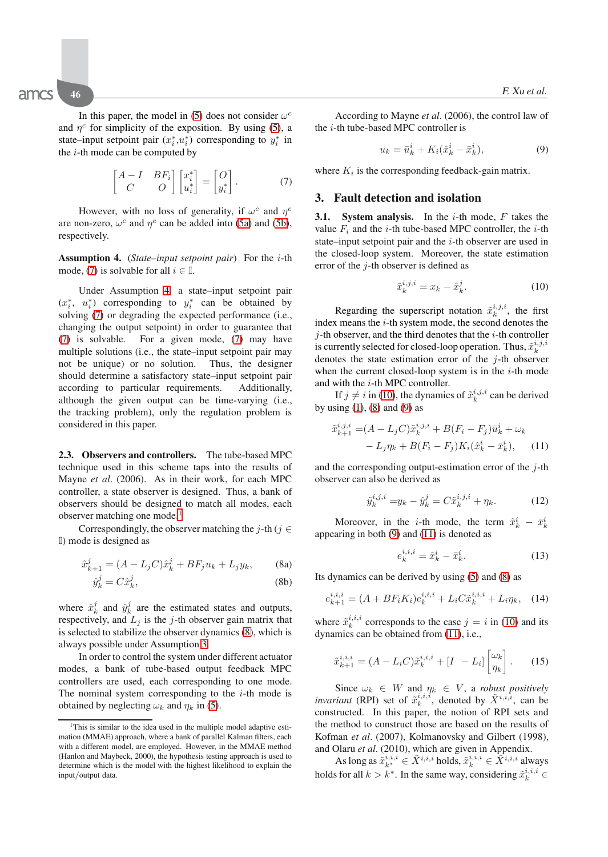In this paper, the model in (5) does not consider  $\omega^c$ and  $\eta^c$  for simplicity of the exposition. By using (5), a state–input setpoint pair  $(x_i^*, u_i^*)$  corresponding to  $y_i^*$  in the  $i$ -th mode can be computed by

$$
\begin{bmatrix} A - I & BF_i \\ C & O \end{bmatrix} \begin{bmatrix} x_i^* \\ u_i^* \end{bmatrix} = \begin{bmatrix} O \\ y_i^* \end{bmatrix}.
$$
 (7)

However, with no loss of generality, if  $\omega^c$  and  $\eta^c$ are non-zero,  $\omega^c$  and  $\eta^c$  can be added into (5a) and (5b), respectively.

**Assumption 4.** (*State–input setpoint pair*) For the i-th mode, (7) is solvable for all  $i \in \mathbb{I}$ .

Under Assumption 4, a state–input setpoint pair  $(x_i^*, u_i^*)$  corresponding to  $y_i^*$  can be obtained by solving (7) or degrading the expected performance (i.e., changing the output setpoint) in order to guarantee that (7) is solvable. For a given mode, (7) may have multiple solutions (i.e., the state–input setpoint pair may not be unique) or no solution. Thus, the designer should determine a satisfactory state–input setpoint pair according to particular requirements. Additionally, although the given output can be time-varying (i.e., the tracking problem), only the regulation problem is considered in this paper.

**2.3. Observers and controllers.** The tube-based MPC technique used in this scheme taps into the results of Mayne *et al*. (2006). As in their work, for each MPC controller, a state observer is designed. Thus, a bank of observers should be designed to match all modes, each observer matching one mode. $<sup>1</sup>$ </sup>

Correspondingly, the observer matching the j-th (j  $\in$ I) mode is designed as

$$
\hat{x}_{k+1}^j = (A - L_j C)\hat{x}_k^j + BF_j u_k + L_j y_k, \tag{8a}
$$

$$
\hat{y}_k^j = C \hat{x}_k^j,\tag{8b}
$$

where  $\hat{x}_{k}^{j}$  and  $\hat{y}_{k}^{j}$  are the estimated states and outputs, respectively, and  $L_i$  is the j-th observer gain matrix that is selected to stabilize the observer dynamics (8), which is always possible under Assumption 3.

In order to control the system under different actuator modes, a bank of tube-based output feedback MPC controllers are used, each corresponding to one mode. The nominal system corresponding to the  $i$ -th mode is obtained by neglecting  $\omega_k$  and  $\eta_k$  in (5).

According to Mayne *et al*. (2006), the control law of the  $i$ -th tube-based MPC controller is

$$
u_k = \bar{u}_k^i + K_i(\hat{x}_k^i - \bar{x}_k^i),\tag{9}
$$

where  $K_i$  is the corresponding feedback-gain matrix.

#### **3. Fault detection and isolation**

**3.1.** System analysis. In the  $i$ -th mode,  $F$  takes the value  $F_i$  and the *i*-th tube-based MPC controller, the *i*-th state–input setpoint pair and the  $i$ -th observer are used in the closed-loop system. Moreover, the state estimation error of the j-th observer is defined as

$$
\tilde{x}_k^{i,j,i} = x_k - \hat{x}_k^j.
$$
\n<sup>(10)</sup>

Regarding the superscript notation  $\tilde{x}_k^{i,j,i}$ , the first index means the  $i$ -th system mode, the second denotes the  $j$ -th observer, and the third denotes that the  $i$ -th controller is currently selected for closed-loop operation. Thus,  $\tilde{x}_k^{i,j,i}$ denotes the state estimation error of the  $i$ -th observer when the current closed-loop system is in the  $i$ -th mode and with the i-th MPC controller.

If  $j \neq i$  in (10), the dynamics of  $\tilde{x}_k^{i,j,i}$  can be derived by using  $(1)$ ,  $(8)$  and  $(9)$  as

$$
\tilde{x}_{k+1}^{i,j,i} = (A - L_j C)\tilde{x}_k^{i,j,i} + B(F_i - F_j)\bar{u}_k^i + \omega_k \n- L_j \eta_k + B(F_i - F_j)K_i(\hat{x}_k^i - \bar{x}_k^i),
$$
\n(11)

and the corresponding output-estimation error of the  $j$ -th observer can also be derived as

$$
\tilde{y}_k^{i,j,i} = y_k - \hat{y}_k^j = C \tilde{x}_k^{i,j,i} + \eta_k.
$$
 (12)

Moreover, in the *i*-th mode, the term  $\hat{x}_k^i - \bar{x}_k^i$ appearing in both (9) and (11) is denoted as

$$
e_k^{i,i,i} = \hat{x}_k^i - \bar{x}_k^i.
$$
 (13)

Its dynamics can be derived by using (5) and (8) as

$$
e_{k+1}^{i,i,i} = (A + BF_i K_i)e_k^{i,i,i} + L_i C \tilde{x}_k^{i,i,i} + L_i \eta_k, \quad (14)
$$

where  $\tilde{x}_k^{i,i,i}$  corresponds to the case  $j = i$  in (10) and its dynamics can be obtained from (11), i.e.,

$$
\tilde{x}_{k+1}^{i,i,i} = (A - L_i C) \tilde{x}_k^{i,i,i} + [I - L_i] \begin{bmatrix} \omega_k \\ \eta_k \end{bmatrix} . \tag{15}
$$

Since  $\omega_k \in W$  and  $\eta_k \in V$ , a *robust positively invariant* (RPI) set of  $\tilde{x}_k^{i,i,i}$ , denoted by  $\tilde{X}^{i,i,i}$ , can be constructed. In this paper, the notion of RPI sets and the method to construct those are based on the results of Kofman *et al*. (2007), Kolmanovsky and Gilbert (1998),

and Olaru *et al.* (2010), which are given in Appendix.<br>As long as  $\tilde{x}_{k^*}^{i,i,i} \in \tilde{X}^{i,i,i}$  holds,  $\tilde{x}_{k}^{i,i,i} \in \tilde{X}^{i,i,i}$  always holds for all  $k > k^*$ . In the same way, considering  $\tilde{x}_k^{i,i,i} \in$ 

<sup>&</sup>lt;sup>1</sup>This is similar to the idea used in the multiple model adaptive estimation (MMAE) approach, where a bank of parallel Kalman filters, each with a different model, are employed. However, in the MMAE method (Hanlon and Maybeck, 2000), the hypothesis testing approach is used to determine which is the model with the highest likelihood to explain the input*/*output data.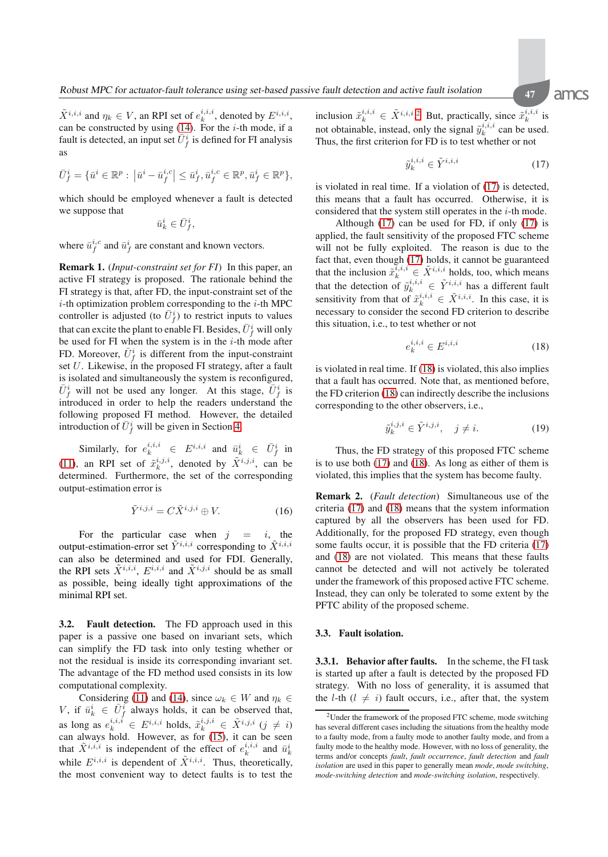$\tilde{X}^{i,i,i}$  and  $\eta_k \in V$ , an RPI set of  $e_k^{i,i,i}$ , denoted by  $E^{i,i,i}$ , can be constructed by using  $(14)$ . For the *i*-th mode, if a fault is detected, an input set  $\bar{U}_f^i$  is defined for FI analysis as

$$
\bar{U}^i_f = \{ \bar{u}^i \in \mathbb{R}^p : \left| \bar{u}^i - \bar{u}^{i,c}_f \right| \leq \bar{u}^i_f, \bar{u}^{i,c}_f \in \mathbb{R}^p, \bar{u}^i_f \in \mathbb{R}^p \},\
$$

which should be employed whenever a fault is detected we suppose that

 $\bar{u}_k^i \in \bar{U}_f^i$ ,

where  $\bar{u}_f^{i,c}$  and  $\bar{u}_f^i$  are constant and known vectors.

**Remark 1.** (*Input-constraint set for FI*) In this paper, an active FI strategy is proposed. The rationale behind the FI strategy is that, after FD, the input-constraint set of the  $i$ -th optimization problem corresponding to the  $i$ -th MPC controller is adjusted (to  $\overline{U}_f^i$ ) to restrict inputs to values that can excite the plant to enable FI. Besides,  $\bar{U}_f^i$  will only be used for FI when the system is in the  $i$ -th mode after FD. Moreover,  $\bar{U}_f^i$  is different from the input-constraint set  $U$ . Likewise, in the proposed FI strategy, after a fault is isolated and simultaneously the system is reconfigured,  $\bar{U}_f^i$  will not be used any longer. At this stage,  $\bar{U}_f^i$  is introduced in order to help the readers understand the following proposed FI method. However, the detailed introduction of  $\bar{U}_f^i$  will be given in Section 4.

Similarly, for  $e_k^{i,i,i} \in E^{i,i,i}$  and  $\bar{u}_k^i \in \bar{U}_f^i$  in (11), an RPI set of  $\tilde{x}_{k}^{i,j,i}$ , denoted by  $\tilde{X}^{i,j,i}$ , can be determined. Furthermore, the set of the corresponding output-estimation error is

$$
\tilde{Y}^{i,j,i} = C\tilde{X}^{i,j,i} \oplus V.
$$
 (16)

For the particular case when  $j = i$ , the output-estimation-error set  $\tilde{Y}^{i,i,i}$  corresponding to  $\tilde{X}^{i,i,i}$ can also be determined and used for FDI. Generally, the RPI sets  $\tilde{X}^{i,i,i}$ ,  $E^{i,i,i}$  and  $\tilde{X}^{i,j,i}$  should be as small as possible, being ideally tight approximations of the minimal RPI set.

**3.2. Fault detection.** The FD approach used in this paper is a passive one based on invariant sets, which can simplify the FD task into only testing whether or not the residual is inside its corresponding invariant set. The advantage of the FD method used consists in its low computational complexity.

Considering (11) and (14), since  $\omega_k \in W$  and  $\eta_k \in$ V, if  $\bar{u}_k^i \in \bar{U}_f^i$  always holds, it can be observed that, as long as  $e_k^{i,i,\hat{i}} \in E^{i,i,i}$  holds,  $\tilde{x}_k^{i,j,i} \in \tilde{X}^{i,j,i}$   $(j \neq i)$ can always hold. However, as for (15), it can be seen that  $\tilde{X}^{i,i,i}$  is independent of the effect of  $e_k^{i,i,i}$  and  $\bar{u}_k^i$ while  $E^{i,i,i}$  is dependent of  $\tilde{X}^{i,i,i}$ . Thus, theoretically, the most convenient way to detect faults is to test the

inclusion  $\tilde{x}_k^{i,i,i} \in \tilde{X}^{i,i,i}$ . But, practically, since  $\tilde{x}_k^{i,i,i}$  is not obtainable, instead, only the signal  $\tilde{y}_k^{i,i,i}$  can be used. Thus, the first criterion for FD is to test whether or not

$$
\tilde{y}_k^{i,i,i} \in \tilde{Y}^{i,i,i} \tag{17}
$$

is violated in real time. If a violation of (17) is detected, this means that a fault has occurred. Otherwise, it is considered that the system still operates in the  $i$ -th mode.

Although (17) can be used for FD, if only (17) is applied, the fault sensitivity of the proposed FTC scheme will not be fully exploited. The reason is due to the fact that, even though (17) holds, it cannot be guaranteed that the inclusion  $\tilde{x}_k^{i,i,i} \in \tilde{X}^{i,i,i}$  holds, too, which means that the detection of  $\tilde{y}_k^{i,i,i} \in \tilde{Y}^{i,i,i}$  has a different fault sensitivity from that of  $\tilde{x}_{k}^{i,i,i} \in \tilde{X}^{i,i,i}$ . In this case, it is necessary to consider the second FD criterion to describe this situation, i.e., to test whether or not

$$
e_k^{i,i,i} \in E^{i,i,i} \tag{18}
$$

is violated in real time. If (18) is violated, this also implies that a fault has occurred. Note that, as mentioned before, the FD criterion (18) can indirectly describe the inclusions corresponding to the other observers, i.e.,

$$
\tilde{y}_k^{i,j,i} \in \tilde{Y}^{i,j,i}, \quad j \neq i. \tag{19}
$$

Thus, the FD strategy of this proposed FTC scheme is to use both (17) and (18). As long as either of them is violated, this implies that the system has become faulty.

**Remark 2.** (*Fault detection*) Simultaneous use of the criteria (17) and (18) means that the system information captured by all the observers has been used for FD. Additionally, for the proposed FD strategy, even though some faults occur, it is possible that the FD criteria (17) and (18) are not violated. This means that these faults cannot be detected and will not actively be tolerated under the framework of this proposed active FTC scheme. Instead, they can only be tolerated to some extent by the PFTC ability of the proposed scheme.

#### **3.3. Fault isolation.**

**3.3.1. Behavior after faults.** In the scheme, the FI task is started up after a fault is detected by the proposed FD strategy. With no loss of generality, it is assumed that the *l*-th ( $l \neq i$ ) fault occurs, i.e., after that, the system

amcs

 $2$ Under the framework of the proposed FTC scheme, mode switching has several different cases including the situations from the healthy mode to a faulty mode, from a faulty mode to another faulty mode, and from a faulty mode to the healthy mode. However, with no loss of generality, the terms and/or concepts *fault*, *fault occurrence*, *fault detection* and *fault isolation* are used in this paper to generally mean *mode*, *mode switching*, *mode-switching detection* and *mode-switching isolation*, respectively.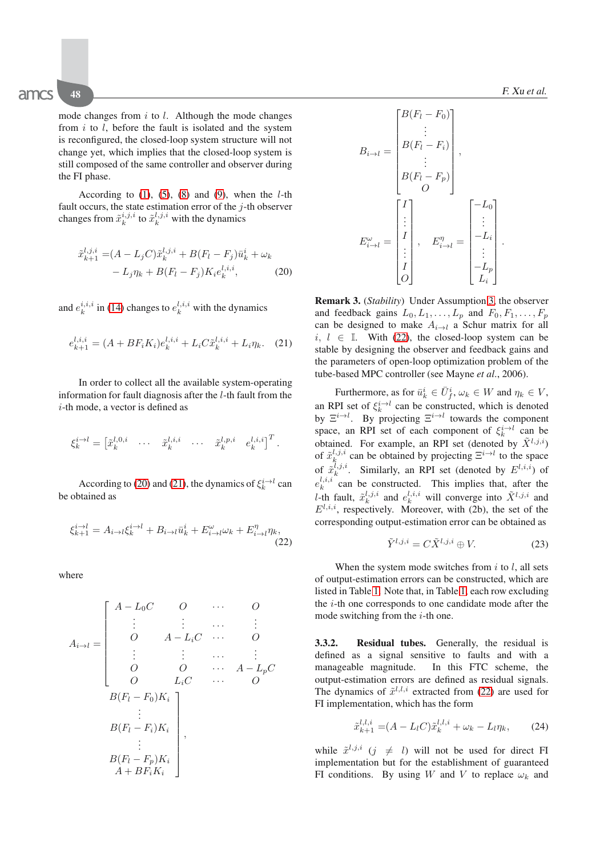mode changes from  $i$  to  $l$ . Although the mode changes from  $i$  to  $l$ , before the fault is isolated and the system is reconfigured, the closed-loop system structure will not change yet, which implies that the closed-loop system is still composed of the same controller and observer during the FI phase.

According to  $(1)$ ,  $(5)$ ,  $(8)$  and  $(9)$ , when the *l*-th fault occurs, the state estimation error of the  $j$ -th observer changes from  $\tilde{x}_k^{i,j,i}$  to  $\tilde{x}_k^{i,j,i}$  with the dynamics

$$
\tilde{x}_{k+1}^{l,j,i} = (A - L_j C) \tilde{x}_k^{l,j,i} + B(F_l - F_j) \bar{u}_k^i + \omega_k - L_j \eta_k + B(F_l - F_j) K_i e_k^{l,i,i},
$$
\n(20)

and  $e_k^{i,i,i}$  in (14) changes to  $e_k^{l,i,i}$  with the dynamics

$$
e_{k+1}^{l,i,i} = (A + BF_i K_i)e_k^{l,i,i} + L_i C \tilde{x}_k^{l,i,i} + L_i \eta_k.
$$
 (21)

In order to collect all the available system-operating information for fault diagnosis after the  $l$ -th fault from the i-th mode, a vector is defined as

$$
\xi_k^{i \to l} = \begin{bmatrix} \tilde{x}_k^{l, 0, i} & \cdots & \tilde{x}_k^{l, i, i} & \cdots & \tilde{x}_k^{l, p, i} & e_k^{l, i, i} \end{bmatrix}^T.
$$

According to (20) and (21), the dynamics of  $\xi_k^{i\to l}$  can be obtained as

$$
\xi_{k+1}^{i \to l} = A_{i \to l} \xi_k^{i \to l} + B_{i \to l} \bar{u}_k^i + E_{i \to l}^{\omega} \omega_k + E_{i \to l}^{\eta} \eta_k,
$$
\n(22)

where

$$
A_{i\to l} = \begin{bmatrix} A - L_0C & O & \cdots & O \\ \vdots & \vdots & \cdots & \vdots \\ O & A - L_iC & \cdots & O \\ \vdots & \vdots & \cdots & \vdots \\ O & O & \cdots & A - L_pC \\ O & L_iC & \cdots & O \\ B(F_l - F_0)K_i & \\ \vdots & \vdots \\ B(F_l - F_i)K_i & \\ \vdots & \\ B(F_l - F_p)K_i & \\ A + BF_iK_i & \end{bmatrix},
$$

$$
B_{i\to l} = \begin{bmatrix} B(F_l - F_0) \\ \vdots \\ B(F_l - F_i) \\ \vdots \\ B(F_l - F_p) \\ O \end{bmatrix},
$$
  

$$
E_{i\to l}^{\omega} = \begin{bmatrix} I \\ \vdots \\ I \\ \vdots \\ I \\ O \end{bmatrix}, \quad E_{i\to l}^{\eta} = \begin{bmatrix} -L_0 \\ \vdots \\ -L_i \\ \vdots \\ -L_p \\ L_i \end{bmatrix}.
$$

**Remark 3.** (*Stability*) Under Assumption 3, the observer and feedback gains  $L_0, L_1, \ldots, L_p$  and  $F_0, F_1, \ldots, F_p$ can be designed to make  $A_{i\rightarrow l}$  a Schur matrix for all i,  $l \in \mathbb{I}$ . With (22), the closed-loop system can be stable by designing the observer and feedback gains and the parameters of open-loop optimization problem of the tube-based MPC controller (see Mayne *et al*., 2006).

Furthermore, as for  $\bar{u}_k^i \in \bar{U}_f^i$ ,  $\omega_k \in W$  and  $\eta_k \in V$ , an RPI set of  $\xi_k^{i\to l}$  can be constructed, which is denoted by  $\Xi^{i\to l}$ . By projecting  $\Xi^{i\to l}$  towards the component space, an RPI set of each component of  $\xi_k^{i\to l}$  can be obtained. For example, an RPI set (denoted by  $\tilde{X}^{l,j,i}$ ) of  $\tilde{x}_k^{l,j,i}$  can be obtained by projecting  $\Xi^{i\to l}$  to the space of  $\tilde{x}_{k}^{l,j,i}$ . Similarly, an RPI set (denoted by  $E^{l,i,i}$ ) of  $e_k^{l,i,i}$  can be constructed. This implies that, after the *l*-th fault,  $\tilde{x}_k^{l,j,i}$  and  $e_k^{l,i,i}$  will converge into  $\tilde{X}^{l,j,i}$  and  $E^{l,i,i}$ , respectively. Moreover, with (2b), the set of the corresponding output-estimation error can be obtained as

$$
\tilde{Y}^{l,j,i} = C\tilde{X}^{l,j,i} \oplus V.
$$
 (23)

When the system mode switches from  $i$  to  $l$ , all sets of output-estimation errors can be constructed, which are listed in Table 1. Note that, in Table 1, each row excluding the i-th one corresponds to one candidate mode after the mode switching from the  $i$ -th one.

**3.3.2. Residual tubes.** Generally, the residual is defined as a signal sensitive to faults and with a manageable magnitude. In this FTC scheme, the output-estimation errors are defined as residual signals. The dynamics of  $\tilde{x}^{l,l,i}$  extracted from (22) are used for FI implementation, which has the form

$$
\tilde{x}_{k+1}^{l,l,i} = (A - L_l C) \tilde{x}_k^{l,l,i} + \omega_k - L_l \eta_k, \qquad (24)
$$

while  $\tilde{x}^{l,j,i}$  ( $j \neq l$ ) will not be used for direct FI implementation but for the establishment of guaranteed FI conditions. By using W and V to replace  $\omega_k$  and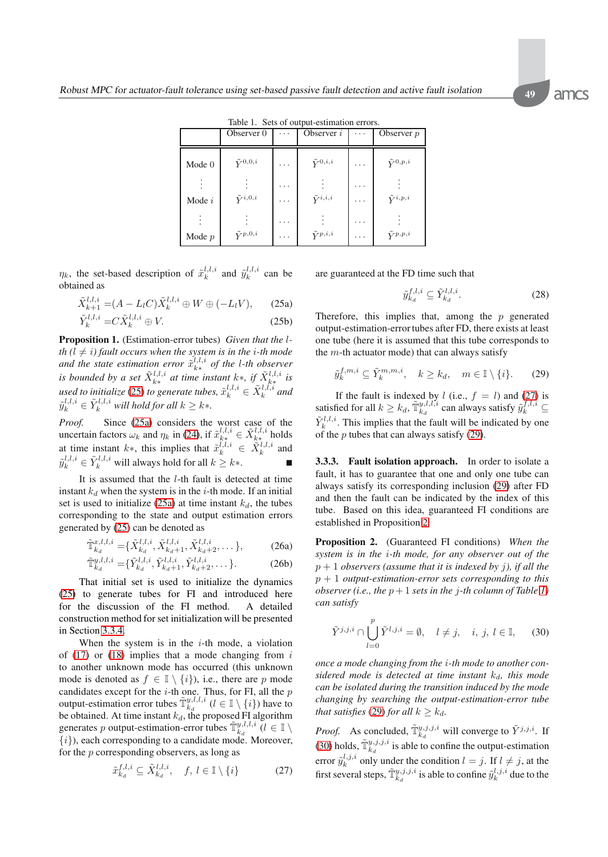amc

|          | Observer 0          | . | Observer $i$        | . | Observer $p$        |
|----------|---------------------|---|---------------------|---|---------------------|
| Mode 0   | $\tilde{Y}^{0,0,i}$ | . | $\tilde{Y}^{0,i,i}$ | . | $\tilde{Y}^{0,p,i}$ |
|          |                     | . |                     | . |                     |
| Mode $i$ | $\tilde{Y}^{i,0,i}$ | . | $\tilde{Y}^{i,i,i}$ | . | $\tilde{Y}^{i,p,i}$ |
|          |                     | . |                     | . |                     |
| Mode $p$ | $\tilde{Y}^{p,0,i}$ | . | $\tilde{Y}^{p,i,i}$ | . | $\tilde{Y}^{p,p,i}$ |

Table 1. Sets of output-estimation errors.

 $\eta_k$ , the set-based description of  $\tilde{x}_k^{l,l,i}$  and  $\tilde{y}_k^{l,l,i}$  can be obtained as

$$
\tilde{X}_{k+1}^{l,l,i} = (A - L_l C) \tilde{X}_k^{l,l,i} \oplus W \oplus (-L_l V), \qquad (25a)
$$

$$
\tilde{Y}_k^{l,l,i} = C \tilde{X}_k^{l,l,i} \oplus V. \tag{25b}
$$

**Proposition 1.** (Estimation-error tubes) *Given that the* l*th*  $(l \neq i)$  fault occurs when the system is in the *i*-th mode and the state estimation error  $\tilde{x}_{k*}^{i,l,i}$  of the *l-th observer is bounded by a set*  $\tilde{X}_{k*}^{l,l,i}$  *at time instant*  $k*,$  *if*  $\tilde{X}_{k*}^{l,l,i}$  *is* used to initialize (25) to generate tubes,  $\tilde{x}_k^{l,l,i} \in \tilde{X}_k^{l,l,i}$  and  $\tilde{y}_{k}^{l,l,i} \in \tilde{Y}_{k}^{l,l,i}$  will hold for all  $k \geq k*$ .

*Proof.* Since (25a) considers the worst case of the uncertain factors  $\omega_k$  and  $\eta_k$  in (24), if  $\tilde{x}_{k,i}^{l,l,i} \in \tilde{X}_{k,i}^{l,l,i}$  holds at time instant k∗, this implies that  $\tilde{x}_{k}^{i,i,i} \in \tilde{X}_{k}^{i,l,i}$  and  $\tilde{y}_k^{l,l,i} \in \tilde{Y}_k^{l,l,i}$  will always hold for all  $k \geq k*.$ 

It is assumed that the  $l$ -th fault is detected at time instant  $k_d$  when the system is in the *i*-th mode. If an initial set is used to initialize (25a) at time instant  $k_d$ , the tubes corresponding to the state and output estimation errors generated by (25) can be denoted as

$$
\tilde{\mathbb{T}}_{k_d}^{x,l,l,i} = \{ \tilde{X}_{k_d}^{l,l,i}, \tilde{X}_{k_d+1}^{l,l,i}, \tilde{X}_{k_d+2}^{l,l,i}, \dots \},
$$
\n(26a)

$$
\tilde{\mathbb{T}}_{k_d}^{y,l,l,i} = \{ \tilde{Y}_{k_d}^{l,l,i}, \tilde{Y}_{k_d+1}^{l,l,i}, \tilde{Y}_{k_d+2}^{l,l,i}, \dots \}.
$$
 (26b)

That initial set is used to initialize the dynamics (25) to generate tubes for FI and introduced here for the discussion of the FI method. A detailed construction method for set initialization will be presented in Section 3.3.4.

When the system is in the  $i$ -th mode, a violation of (17) or (18) implies that a mode changing from  $i$ to another unknown mode has occurred (this unknown mode is denoted as  $f \in \mathbb{I} \setminus \{i\}$ , i.e., there are p mode candidates except for the *i*-th one. Thus, for FI, all the *p* output-estimation error tubes  $\tilde{T}_{k_d}^{y,l,l,i}$  ( $l \in \mathbb{I} \setminus \{i\}$ ) have to be obtained. At time instant  $k_d$ , the proposed FI algorithm generates p output-estimation-error tubes  $\tilde{\mathbb{T}}_{k_d}^{y,l,l,i}$ ,  $\tilde{\mathcal{U}} \in \mathbb{I} \setminus$  $\{i\}$ ), each corresponding to a candidate mode. Moreover, for the  $p$  corresponding observers, as long as

$$
\tilde{x}_{k_d}^{f,l,i} \subseteq \tilde{X}_{k_d}^{l,l,i}, \quad f, l \in \mathbb{I} \setminus \{i\} \tag{27}
$$

are guaranteed at the FD time such that

$$
\tilde{y}_{k_d}^{f,l,i} \subseteq \tilde{Y}_{k_d}^{l,l,i}.\tag{28}
$$

Therefore, this implies that, among the  $p$  generated output-estimation-error tubes after FD, there exists at least one tube (here it is assumed that this tube corresponds to the  $m$ -th actuator mode) that can always satisfy

$$
\tilde{y}_k^{f,m,i} \subseteq \tilde{Y}_k^{m,m,i}, \quad k \ge k_d, \quad m \in \mathbb{I} \setminus \{i\}.
$$
 (29)

If the fault is indexed by *l* (i.e.,  $f = l$ ) and (27) is satisfied for all  $k \ge k_d$ ,  $\tilde{\mathbb{T}}_{k_d}^{y,l,l,i}$  can always satisfy  $\tilde{y}_k^{f,l,i} \subseteq$  $\tilde{Y}_k^{l,l,i}$ . This implies that the fault will be indicated by one of the  $p$  tubes that can always satisfy (29).

**3.3.3. Fault isolation approach.** In order to isolate a fault, it has to guarantee that one and only one tube can always satisfy its corresponding inclusion (29) after FD and then the fault can be indicated by the index of this tube. Based on this idea, guaranteed FI conditions are established in Proposition 2.

**Proposition 2.** (Guaranteed FI conditions) *When the system is in the* i*-th mode, for any observer out of the* p + 1 *observers (assume that it is indexed by* j*), if all the* p + 1 *output-estimation-error sets corresponding to this observer (i.e., the*  $p + 1$  *sets in the j-th column of Table 1) can satisfy*

$$
\tilde{Y}^{j,j,i} \cap \bigcup_{l=0}^{p} \tilde{Y}^{l,j,i} = \emptyset, \quad l \neq j, \quad i, j, l \in \mathbb{I}, \tag{30}
$$

*once a mode changing from the* i*-th mode to another considered mode is detected at time instant*  $k_d$ *, this mode can be isolated during the transition induced by the mode changing by searching the output-estimation-error tube that satisfies* (29) *for all*  $k \geq k_d$ *.* 

*Proof.* As concluded,  $\tilde{\mathbb{T}}_{k_d}^{y,j,j,i}$  will converge to  $\tilde{Y}^{j,j,i}$ . If (30) holds,  $\tilde{T}_{k_d}^{y,j,j,i}$  is able to confine the output-estimation error  $\tilde{y}_k^{l,j,i}$  only under the condition  $l = j$ . If  $l \neq j$ , at the first several steps,  $\tilde{\mathbb{T}}_{k_d}^{y,j,j,i}$  is able to confine  $\tilde{y}_k^{l,j,i}$  due to the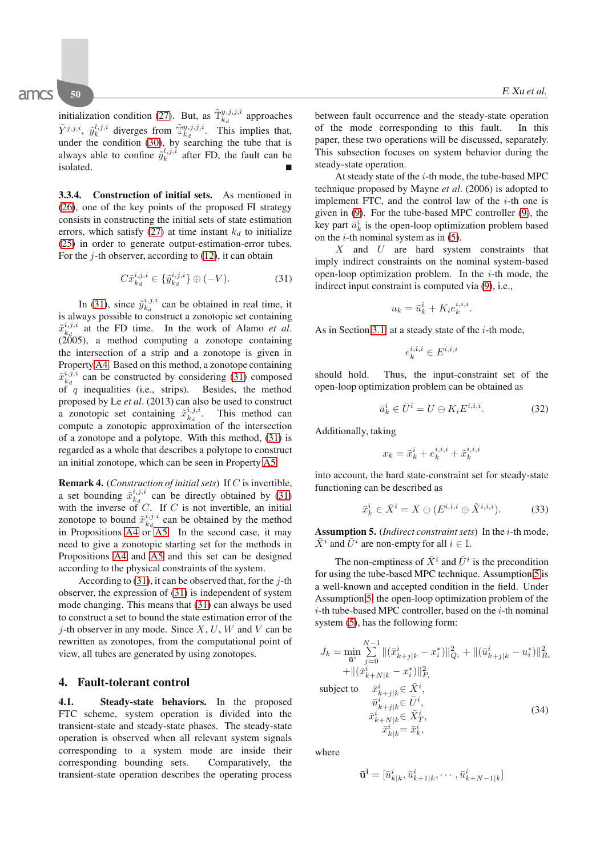initialization condition (27). But, as  $\tilde{T}_{k_d}^{y,j,j,i}$  approaches  $\tilde{Y}^{j,j,i}$ ,  $\tilde{y}^{l,j,i}_k$  diverges from  $\tilde{\mathbb{T}}_{k_d}^{y,j,j,i}$ . This implies that, under the condition (30), by searching the tube that is always able to confine  $\hat{y}_k^{l,j,i}$  after FD, the fault can be  $\blacksquare$ isolated.

**3.3.4. Construction of initial sets.** As mentioned in (26), one of the key points of the proposed FI strategy consists in constructing the initial sets of state estimation errors, which satisfy (27) at time instant  $k_d$  to initialize (25) in order to generate output-estimation-error tubes. For the  $j$ -th observer, according to  $(12)$ , it can obtain

$$
C\tilde{x}_{k_d}^{i,j,i} \in \{ \tilde{y}_{k_d}^{i,j,i} \} \oplus (-V). \tag{31}
$$

In (31), since  $\tilde{y}_{k_d}^{i,j,i}$  can be obtained in real time, it is always possible to construct a zonotopic set containing  $\tilde{x}_{k_d}^{i,j,i}$  at the FD time. In the work of Alamo *et al.*  $(2005)$ , a method computing a zonotope containing the intersection of a strip and a zonotope is given in Property A4. Based on this method, a zonotope containing  $\tilde{x}_{k_d}^{i,j,i}$  can be constructed by considering (31) composed of  $q$  inequalities (i.e., strips). Besides, the method proposed by Le *et al*. (2013) can also be used to construct a zonotopic set containing  $\tilde{x}_{k_d}^{i,j,i}$ . This method can compute a zonotopic approximation of the intersection of a zonotope and a polytope. With this method, (31) is regarded as a whole that describes a polytope to construct an initial zonotope, which can be seen in Property A5.

**Remark 4.** (*Construction of initial sets*) If C is invertible, a set bounding  $\tilde{x}_{k_d}^{i,j,i}$  can be directly obtained by (31) with the inverse of C. If C is not invertible, an initial zonotope to bound  $\tilde{x}_{k_d}^{i,j,i}$  can be obtained by the method in Propositions A4 or A5. In the second case, it may need to give a zonotopic starting set for the methods in Propositions A4 and A5 and this set can be designed according to the physical constraints of the system.

According to  $(31)$ , it can be observed that, for the j-th observer, the expression of (31) is independent of system mode changing. This means that (31) can always be used to construct a set to bound the state estimation error of the j-th observer in any mode. Since  $X, U, W$  and  $V$  can be rewritten as zonotopes, from the computational point of view, all tubes are generated by using zonotopes.

#### **4. Fault-tolerant control**

**4.1. Steady-state behaviors.** In the proposed FTC scheme, system operation is divided into the transient-state and steady-state phases. The steady-state operation is observed when all relevant system signals corresponding to a system mode are inside their corresponding bounding sets. Comparatively, the transient-state operation describes the operating process

between fault occurrence and the steady-state operation of the mode corresponding to this fault. In this paper, these two operations will be discussed, separately. This subsection focuses on system behavior during the steady-state operation.

At steady state of the  $i$ -th mode, the tube-based MPC technique proposed by Mayne *et al*. (2006) is adopted to implement FTC, and the control law of the  $i$ -th one is given in (9). For the tube-based MPC controller (9), the key part  $\bar{u}_k^i$  is the open-loop optimization problem based on the  $i$ -th nominal system as in  $(5)$ .

 $X$  and  $U$  are hard system constraints that imply indirect constraints on the nominal system-based open-loop optimization problem. In the  $i$ -th mode, the indirect input constraint is computed via (9), i.e.,

$$
u_k = \bar{u}_k^i + K_i e_k^{i,i,i}.
$$

As in Section 3.1, at a steady state of the  $i$ -th mode,

$$
e_k^{i,i,i} \in E^{i,i,i}
$$

should hold. Thus, the input-constraint set of the open-loop optimization problem can be obtained as

$$
\bar{u}_k^i \in \bar{U}^i = U \ominus K_i E^{i, i, i}.\tag{32}
$$

Additionally, taking

$$
x_k = \bar{x}_k^i + e_k^{i,i,i} + \tilde{x}_k^{i,i,i}
$$

into account, the hard state-constraint set for steady-state functioning can be described as

$$
\bar{x}_k^i \in \bar{X}^i = X \ominus (E^{i,i,i} \oplus \tilde{X}^{i,i,i}).\tag{33}
$$

**Assumption 5.** (*Indirect constraint sets*) In the i-th mode,  $\bar{X}^i$  and  $\bar{U}^i$  are non-empty for all  $i \in \mathbb{I}$ .

The non-emptiness of  $\bar{X}^i$  and  $\bar{U}^i$  is the precondition for using the tube-based MPC technique. Assumption 5 is a well-known and accepted condition in the field. Under Assumption 5, the open-loop optimization problem of the  $i$ -th tube-based MPC controller, based on the  $i$ -th nominal system (5), has the following form:

$$
J_k = \min_{\bar{\mathbf{u}}^i} \sum_{j=0}^{N-1} \|(\bar{x}_{k+j|k}^i - x_i^*)\|_{Q_i}^2 + \|(\bar{u}_{k+j|k}^i - u_i^*)\|_{R_i}^2 + \|\bar{x}_{k+N|k}^i - x_i^*)\|_{P_i}^2
$$
  
subject to 
$$
\bar{x}_{k+j|k}^i \in \bar{X}^i,
$$

$$
\bar{u}_{k+j|k}^i \in \bar{U}^i,
$$

$$
\bar{x}_{k+N|k}^i \in \bar{X}_T^i,
$$

$$
\bar{x}_{k|k}^i = \bar{x}_k^i,
$$

$$
(34)
$$

where

$$
\mathbf{\bar{u}}^i = [\bar{u}^i_{k|k}, \bar{u}^i_{k+1|k}, \cdots, \bar{u}^i_{k+N-1|k}]
$$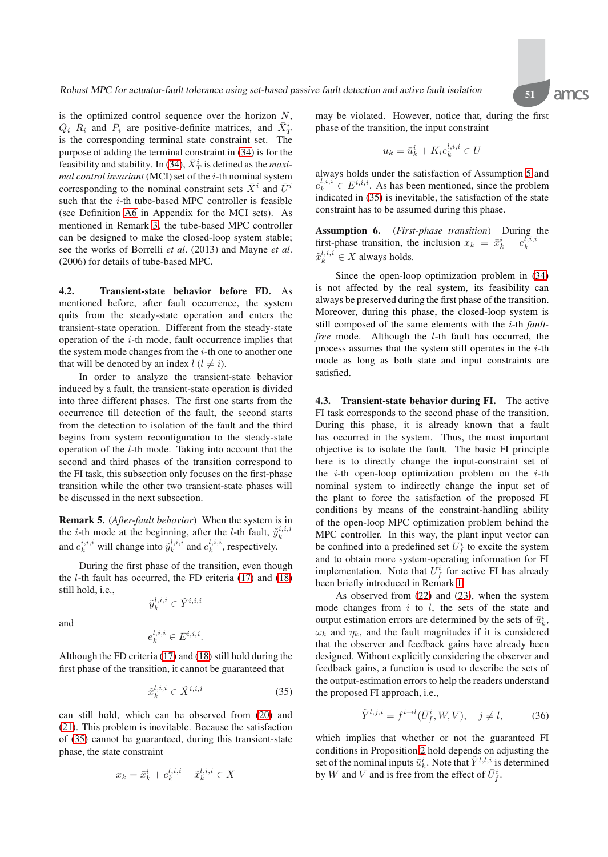is the optimized control sequence over the horizon  $N$ ,  $Q_i$   $R_i$  and  $P_i$  are positive-definite matrices, and  $\bar{X}_T^i$ is the corresponding terminal state constraint set. The purpose of adding the terminal constraint in (34) is for the feasibility and stability. In (34),  $\bar{X}^i_T$  is defined as the *maximal control invariant* (MCI) set of the *i*-th nominal system corresponding to the nominal constraint sets  $\bar{X}^i$  and  $\bar{U}^i$ such that the *i*-th tube-based MPC controller is feasible (see Definition A6 in Appendix for the MCI sets). As mentioned in Remark 3, the tube-based MPC controller can be designed to make the closed-loop system stable; see the works of Borrelli *et al*. (2013) and Mayne *et al*. (2006) for details of tube-based MPC.

**4.2. Transient-state behavior before FD.** As mentioned before, after fault occurrence, the system quits from the steady-state operation and enters the transient-state operation. Different from the steady-state operation of the i-th mode, fault occurrence implies that the system mode changes from the  $i$ -th one to another one that will be denoted by an index  $l$  ( $l \neq i$ ).

In order to analyze the transient-state behavior induced by a fault, the transient-state operation is divided into three different phases. The first one starts from the occurrence till detection of the fault, the second starts from the detection to isolation of the fault and the third begins from system reconfiguration to the steady-state operation of the l-th mode. Taking into account that the second and third phases of the transition correspond to the FI task, this subsection only focuses on the first-phase transition while the other two transient-state phases will be discussed in the next subsection.

**Remark 5.** (*After-fault behavior*) When the system is in the *i*-th mode at the beginning, after the *l*-th fault,  $\tilde{y}_k^{i,i,i}$ and  $e_k^{i,i,i}$  will change into  $\tilde{y}_k^{l,i,i}$  and  $e_k^{l,i,i}$ , respectively.

During the first phase of the transition, even though the  $l$ -th fault has occurred, the FD criteria  $(17)$  and  $(18)$ still hold, i.e.,  $\tilde{y}_k^{l,i,i} \in \tilde{Y}^{i,i,i}$ 

and

$$
e_k^{l,i,i} \in E^{i,i,i}.
$$

Although the FD criteria (17) and (18) still hold during the first phase of the transition, it cannot be guaranteed that

$$
\tilde{x}_k^{l,i,i} \in \tilde{X}^{i,i,i}
$$
\n<sup>(35)</sup>

can still hold, which can be observed from (20) and (21). This problem is inevitable. Because the satisfaction of (35) cannot be guaranteed, during this transient-state phase, the state constraint

$$
x_k = \bar{x}_k^i + e_k^{l,i,i} + \tilde{x}_k^{l,i,i} \in X
$$

may be violated. However, notice that, during the first phase of the transition, the input constraint

$$
u_k = \bar{u}_k^i + K_i e_k^{l,i,i} \in U
$$

always holds under the satisfaction of Assumption 5 and  $e_k^{l,i,i} \in E^{i,i,i}$ . As has been mentioned, since the problem indicated in (35) is inevitable, the satisfaction of the state constraint has to be assumed during this phase.

**Assumption 6.** (*First-phase transition*) During the first-phase transition, the inclusion  $x_k = \bar{x}_k^i + e_k^{\bar{i},\bar{i},\bar{i}}$  $\tilde{x}_{k}^{l,i,i} \in X$  always holds.

Since the open-loop optimization problem in (34) is not affected by the real system, its feasibility can always be preserved during the first phase of the transition. Moreover, during this phase, the closed-loop system is still composed of the same elements with the i-th *faultfree* mode. Although the *l*-th fault has occurred, the process assumes that the system still operates in the  $i$ -th mode as long as both state and input constraints are satisfied.

**4.3. Transient-state behavior during FI.** The active FI task corresponds to the second phase of the transition. During this phase, it is already known that a fault has occurred in the system. Thus, the most important objective is to isolate the fault. The basic FI principle here is to directly change the input-constraint set of the *i*-th open-loop optimization problem on the *i*-th nominal system to indirectly change the input set of the plant to force the satisfaction of the proposed FI conditions by means of the constraint-handling ability of the open-loop MPC optimization problem behind the MPC controller. In this way, the plant input vector can be confined into a predefined set  $U_f^i$  to excite the system and to obtain more system-operating information for FI implementation. Note that  $U_f^i$  for active FI has already been briefly introduced in Remark 1.

As observed from (22) and (23), when the system mode changes from  $i$  to  $l$ , the sets of the state and output estimation errors are determined by the sets of  $\bar{u}_k^i$ ,  $\omega_k$  and  $\eta_k$ , and the fault magnitudes if it is considered that the observer and feedback gains have already been designed. Without explicitly considering the observer and feedback gains, a function is used to describe the sets of the output-estimation errors to help the readers understand the proposed FI approach, i.e.,

$$
\tilde{Y}^{l,j,i} = f^{i \to l}(\bar{U}^i_f, W, V), \quad j \neq l,\tag{36}
$$

which implies that whether or not the guaranteed FI conditions in Proposition 2 hold depends on adjusting the set of the nominal inputs  $\bar{u}_k^i$ . Note that  $\tilde{Y}^{l,l,i}$  is determined by W and V and is free from the effect of  $\overline{U}_f^i$ .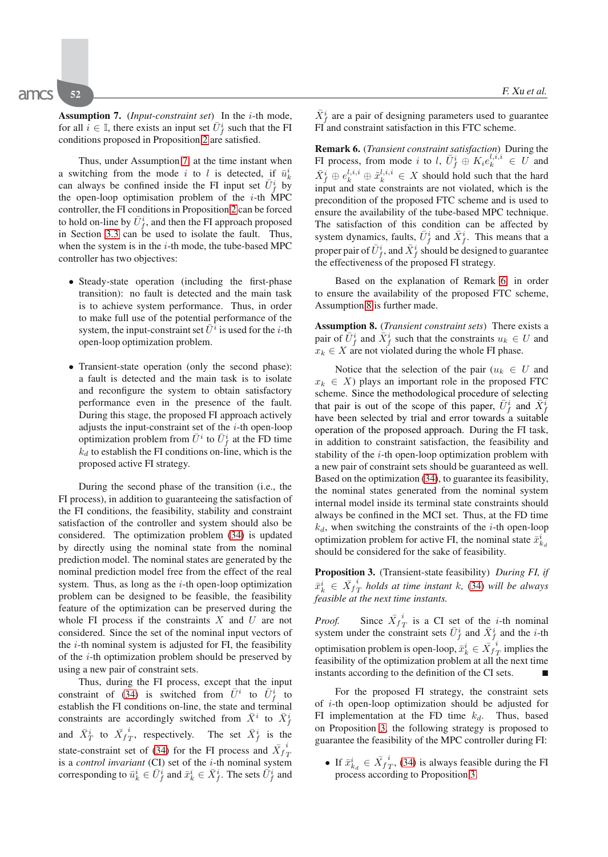# **amcs**

**Assumption 7.** (*Input-constraint set*) In the i-th mode, for all  $i \in \mathbb{I}$ , there exists an input set  $\overline{U}_f^i$  such that the FI conditions proposed in Proposition 2 are satisfied.

Thus, under Assumption 7, at the time instant when a switching from the mode i to l is detected, if  $\bar{u}_k^i$ can always be confined inside the FI input set  $\bar{U}_f^i$  by the open-loop optimisation problem of the  $i$ -th MPC controller, the FI conditions in Proposition 2 can be forced to hold on-line by  $\bar{U}_f^i$ , and then the FI approach proposed in Section 3.3 can be used to isolate the fault. Thus, when the system is in the  $i$ -th mode, the tube-based MPC controller has two objectives:

- Steady-state operation (including the first-phase transition): no fault is detected and the main task is to achieve system performance. Thus, in order to make full use of the potential performance of the system, the input-constraint set  $\bar{U}^i$  is used for the *i*-th open-loop optimization problem.
- Transient-state operation (only the second phase): a fault is detected and the main task is to isolate and reconfigure the system to obtain satisfactory performance even in the presence of the fault. During this stage, the proposed FI approach actively adjusts the input-constraint set of the  $i$ -th open-loop optimization problem from  $\overline{U}^i$  to  $\overline{U}_f^i$  at the FD time  $k_d$  to establish the FI conditions on-line, which is the proposed active FI strategy.

During the second phase of the transition (i.e., the FI process), in addition to guaranteeing the satisfaction of the FI conditions, the feasibility, stability and constraint satisfaction of the controller and system should also be considered. The optimization problem (34) is updated by directly using the nominal state from the nominal prediction model. The nominal states are generated by the nominal prediction model free from the effect of the real system. Thus, as long as the  $i$ -th open-loop optimization problem can be designed to be feasible, the feasibility feature of the optimization can be preserved during the whole FI process if the constraints  $X$  and  $U$  are not considered. Since the set of the nominal input vectors of the  $i$ -th nominal system is adjusted for FI, the feasibility of the  $i$ -th optimization problem should be preserved by using a new pair of constraint sets.

Thus, during the FI process, except that the input constraint of (34) is switched from  $\overline{U}^i$  to  $\overline{U}^i_f$  to establish the FI conditions on-line, the state and terminal constraints are accordingly switched from  $\bar{X}^i$  to  $\bar{X}^i_f$ and  $\bar{X}_T^i$  to  $\bar{X}_T^i$ , respectively. The set  $\bar{X}_T^i$  is the state-constraint set of (34) for the FI process and  $\overline{X}_{fq}$ T is a *control invariant* (CI) set of the *i*-th nominal system corresponding to  $\bar{u}_k^i \in \bar{U}_f^i$  and  $\bar{x}_k^i \in \bar{X}_f^i$ . The sets  $\bar{U}_f^i$  and

 $\bar{X}_f^i$  are a pair of designing parameters used to guarantee FI and constraint satisfaction in this FTC scheme.

**Remark 6.** (*Transient constraint satisfaction*) During the FI process, from mode i to l,  $\overline{U}_f^i \oplus K_i e_k^{l,i,i} \in U$  and  $\bar{X}_f^i \oplus e_k^{l,i,i} \oplus \tilde{x}_k^{l,i,i} \in X$  should hold such that the hard input and state constraints are not violated, which is the precondition of the proposed FTC scheme and is used to ensure the availability of the tube-based MPC technique. The satisfaction of this condition can be affected by system dynamics, faults,  $\bar{U}_f^i$  and  $\bar{X}_f^i$ . This means that a proper pair of  $\bar{U}_f^i$ , and  $\bar{X}_f^i$  should be designed to guarantee the effectiveness of the proposed FI strategy.

Based on the explanation of Remark 6, in order to ensure the availability of the proposed FTC scheme, Assumption 8 is further made.

**Assumption 8.** (*Transient constraint sets*) There exists a pair of  $\overline{U}_f^i$  and  $\overline{X}_f^i$  such that the constraints  $u_k \in U$  and  $x_k \in X$  are not violated during the whole FI phase.

Notice that the selection of the pair  $(u_k \in U$  and  $x_k \in X$ ) plays an important role in the proposed FTC scheme. Since the methodological procedure of selecting that pair is out of the scope of this paper,  $\bar{U}_f^i$  and  $\bar{X}_f^{\bar{i}}$ have been selected by trial and error towards a suitable operation of the proposed approach. During the FI task, in addition to constraint satisfaction, the feasibility and stability of the  $i$ -th open-loop optimization problem with a new pair of constraint sets should be guaranteed as well. Based on the optimization (34), to guarantee its feasibility, the nominal states generated from the nominal system internal model inside its terminal state constraints should always be confined in the MCI set. Thus, at the FD time  $k_d$ , when switching the constraints of the *i*-th open-loop optimization problem for active FI, the nominal state  $\bar{x}_{k_d}^i$ should be considered for the sake of feasibility.

**Proposition 3.** (Transient-state feasibility) *During FI, if*  $\bar{x}_k^i \in \bar{X}_{fT}^i$  holds at time instant k, (34) will be always *feasible at the next time instants.*

*Proof.* Since  $\overline{X}_{f}^{i}$  is a CI set of the *i*-th nominal system under the constraint sets  $\bar{U}_f^i$  and  $\bar{X}_f^i$  and the *i*-th optimisation problem is open-loop,  $\bar{x}_k^i \in \bar{X}_{fT}^{\hat{i}}$  implies the feasibility of the optimization problem at all the next time instants according to the definition of the CI sets.

For the proposed FI strategy, the constraint sets of i-th open-loop optimization should be adjusted for FI implementation at the FD time  $k_d$ . Thus, based on Proposition 3, the following strategy is proposed to guarantee the feasibility of the MPC controller during FI:

• If  $\bar{x}_{k_d}^i \in \bar{X}_{fT}^i$ , (34) is always feasible during the FI process according to Proposition 3.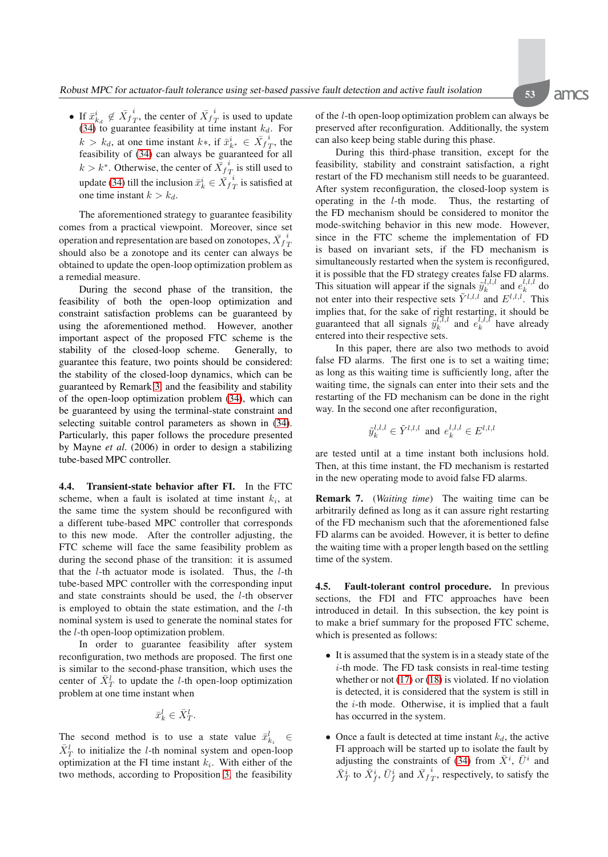• If  $\bar{x}_{k_d}^i \notin \bar{X_f}^i_T$ , the center of  $\bar{X_f}^i_T$  is used to update (34) to guarantee feasibility at time instant  $k_d$ . For  $k > k_d$ , at one time instant  $k*,$  if  $\bar{x}_{k^*}^i \in \bar{X}_{fT}^i$ , the feasibility of (34) can always be guaranteed for all  $k > k^*$ . Otherwise, the center of  $\overline{X}_{f}^{i}$  is still used to update (34) till the inclusion  $\bar{x}_k^i \in \bar{X}_{fT}^{\bar{i}_i}$  is satisfied at one time instant  $k>k_d$ .

The aforementioned strategy to guarantee feasibility comes from a practical viewpoint. Moreover, since set operation and representation are based on zonotopes,  $\bar{X}_{fq}^i$ T should also be a zonotope and its center can always be obtained to update the open-loop optimization problem as a remedial measure.

During the second phase of the transition, the feasibility of both the open-loop optimization and constraint satisfaction problems can be guaranteed by using the aforementioned method. However, another important aspect of the proposed FTC scheme is the stability of the closed-loop scheme. Generally, to guarantee this feature, two points should be considered: the stability of the closed-loop dynamics, which can be guaranteed by Remark 3, and the feasibility and stability of the open-loop optimization problem (34), which can be guaranteed by using the terminal-state constraint and selecting suitable control parameters as shown in (34). Particularly, this paper follows the procedure presented by Mayne *et al*. (2006) in order to design a stabilizing tube-based MPC controller.

**4.4. Transient-state behavior after FI.** In the FTC scheme, when a fault is isolated at time instant  $k_i$ , at the same time the system should be reconfigured with a different tube-based MPC controller that corresponds to this new mode. After the controller adjusting, the FTC scheme will face the same feasibility problem as during the second phase of the transition: it is assumed that the  $l$ -th actuator mode is isolated. Thus, the  $l$ -th tube-based MPC controller with the corresponding input and state constraints should be used, the l-th observer is employed to obtain the state estimation, and the  $l$ -th nominal system is used to generate the nominal states for the l-th open-loop optimization problem.

In order to guarantee feasibility after system reconfiguration, two methods are proposed. The first one is similar to the second-phase transition, which uses the center of  $\bar{X}_T^l$  to update the *l*-th open-loop optimization problem at one time instant when

$$
\bar{x}_k^l \in \bar{X}_T^l.
$$

The second method is to use a state value  $\bar{x}_{k_i}^l \in$  $\bar{X}_T^l$  to initialize the *l*-th nominal system and open-loop optimization at the FI time instant  $k_i$ . With either of the two methods, according to Proposition 3, the feasibility

of the l-th open-loop optimization problem can always be preserved after reconfiguration. Additionally, the system can also keep being stable during this phase.

During this third-phase transition, except for the feasibility, stability and constraint satisfaction, a right restart of the FD mechanism still needs to be guaranteed. After system reconfiguration, the closed-loop system is operating in the  $l$ -th mode. Thus, the restarting of the FD mechanism should be considered to monitor the mode-switching behavior in this new mode. However, since in the FTC scheme the implementation of FD is based on invariant sets, if the FD mechanism is simultaneously restarted when the system is reconfigured, it is possible that the FD strategy creates false FD alarms. This situation will appear if the signals  $\tilde{y}_k^{l,l,l}$  and  $e_k^{l,l,l}$  do not enter into their respective sets  $\tilde{Y}^{l,l,l}$  and  $E^{l,l,l}$ . This implies that, for the sake of right restarting, it should be guaranteed that all signals  $\tilde{y}_k^{l,\tilde{l},l}$  and  $e_k^{l,l,\tilde{l}'}$  have already entered into their respective sets.

In this paper, there are also two methods to avoid false FD alarms. The first one is to set a waiting time; as long as this waiting time is sufficiently long, after the waiting time, the signals can enter into their sets and the restarting of the FD mechanism can be done in the right way. In the second one after reconfiguration,

$$
\tilde{y}_k^{l,l,l} \in \tilde{Y}^{l,l,l} \text{ and } e_k^{l,l,l} \in E^{l,l,l}
$$

are tested until at a time instant both inclusions hold. Then, at this time instant, the FD mechanism is restarted in the new operating mode to avoid false FD alarms.

**Remark 7.** (*Waiting time*) The waiting time can be arbitrarily defined as long as it can assure right restarting of the FD mechanism such that the aforementioned false FD alarms can be avoided. However, it is better to define the waiting time with a proper length based on the settling time of the system.

**4.5. Fault-tolerant control procedure.** In previous sections, the FDI and FTC approaches have been introduced in detail. In this subsection, the key point is to make a brief summary for the proposed FTC scheme, which is presented as follows:

- It is assumed that the system is in a steady state of the i-th mode. The FD task consists in real-time testing whether or not  $(17)$  or  $(18)$  is violated. If no violation is detected, it is considered that the system is still in the i-th mode. Otherwise, it is implied that a fault has occurred in the system.
- Once a fault is detected at time instant  $k_d$ , the active FI approach will be started up to isolate the fault by adjusting the constraints of (34) from  $\bar{X}^i$ ,  $\bar{U}^i$  and  $\overline{X}^i_T$  to  $\overline{X}^i_f$ ,  $\overline{U}^i_f$  and  $\overline{X}^i_{fT}$ , respectively, to satisfy the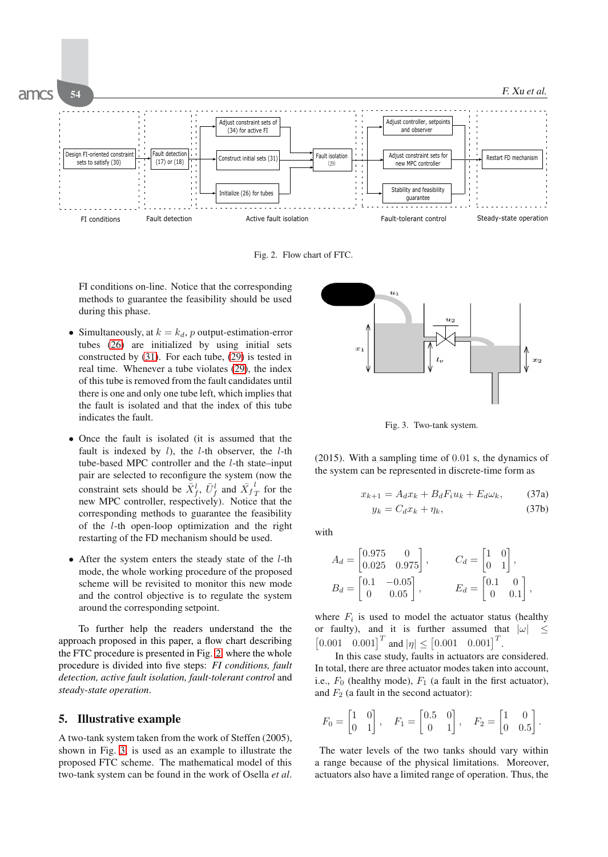

Fig. 2. Flow chart of FTC.

FI conditions on-line. Notice that the corresponding methods to guarantee the feasibility should be used during this phase.

- Simultaneously, at  $k = k_d$ , p output-estimation-error tubes (26) are initialized by using initial sets constructed by (31). For each tube, (29) is tested in real time. Whenever a tube violates (29), the index of this tube is removed from the fault candidates until there is one and only one tube left, which implies that the fault is isolated and that the index of this tube indicates the fault.
- Once the fault is isolated (it is assumed that the fault is indexed by  $l$ ), the  $l$ -th observer, the  $l$ -th tube-based MPC controller and the  $l$ -th state-input pair are selected to reconfigure the system (now the constraint sets should be  $\overline{X}_f^l$ ,  $\overline{U}_f^l$  and  $\overline{X}_f^l$  for the new MPC controller, respectively). Notice that the corresponding methods to guarantee the feasibility of the l-th open-loop optimization and the right restarting of the FD mechanism should be used.
- After the system enters the steady state of the *l*-th mode, the whole working procedure of the proposed scheme will be revisited to monitor this new mode and the control objective is to regulate the system around the corresponding setpoint.

To further help the readers understand the the approach proposed in this paper, a flow chart describing the FTC procedure is presented in Fig. 2, where the whole procedure is divided into five steps: *FI conditions, fault detection, active fault isolation, fault-tolerant control* and *steady-state operation*.

#### **5. Illustrative example**

A two-tank system taken from the work of Steffen (2005), shown in Fig. 3, is used as an example to illustrate the proposed FTC scheme. The mathematical model of this two-tank system can be found in the work of Osella *et al*.



Fig. 3. Two-tank system.

(2015). With a sampling time of 0.01 s, the dynamics of the system can be represented in discrete-time form as

$$
x_{k+1} = A_d x_k + B_d F_i u_k + E_d \omega_k, \qquad (37a)
$$

$$
y_k = C_d x_k + \eta_k, \qquad (37b)
$$

with

$$
A_d = \begin{bmatrix} 0.975 & 0 \\ 0.025 & 0.975 \end{bmatrix}, \t C_d = \begin{bmatrix} 1 & 0 \\ 0 & 1 \end{bmatrix},
$$
  
\n
$$
B_d = \begin{bmatrix} 0.1 & -0.05 \\ 0 & 0.05 \end{bmatrix}, \t E_d = \begin{bmatrix} 0.1 & 0 \\ 0 & 0.1 \end{bmatrix},
$$

where  $F_i$  is used to model the actuator status (healthy or faulty), and it is further assumed that  $|\omega|$  $\begin{bmatrix} 0.001 & 0.001 \end{bmatrix}^T$  and  $|\eta| \leq \begin{bmatrix} 0.001 & 0.001 \end{bmatrix}^T$ .

In this case study, faults in actuators are considered. In total, there are three actuator modes taken into account, i.e.,  $F_0$  (healthy mode),  $F_1$  (a fault in the first actuator), and  $F_2$  (a fault in the second actuator):

$$
F_0 = \begin{bmatrix} 1 & 0 \\ 0 & 1 \end{bmatrix}, \quad F_1 = \begin{bmatrix} 0.5 & 0 \\ 0 & 1 \end{bmatrix}, \quad F_2 = \begin{bmatrix} 1 & 0 \\ 0 & 0.5 \end{bmatrix}.
$$

The water levels of the two tanks should vary within a range because of the physical limitations. Moreover, actuators also have a limited range of operation. Thus, the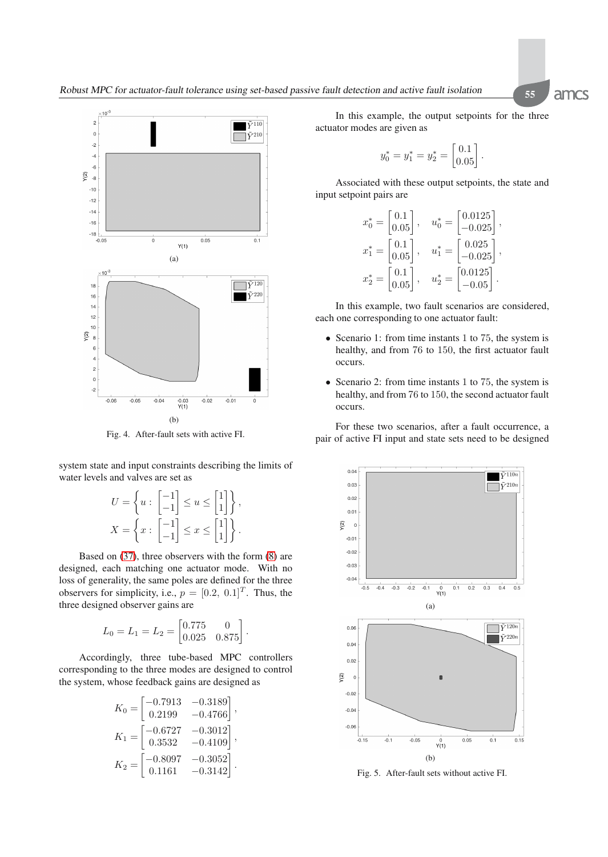

Fig. 4. After-fault sets with active FI.

system state and input constraints describing the limits of water levels and valves are set as

$$
U = \left\{ u : \begin{bmatrix} -1 \\ -1 \end{bmatrix} \le u \le \begin{bmatrix} 1 \\ 1 \end{bmatrix} \right\},
$$

$$
X = \left\{ x : \begin{bmatrix} -1 \\ -1 \end{bmatrix} \le x \le \begin{bmatrix} 1 \\ 1 \end{bmatrix} \right\}.
$$

Based on (37), three observers with the form (8) are designed, each matching one actuator mode. With no loss of generality, the same poles are defined for the three observers for simplicity, i.e.,  $p = [0.2, 0.1]^T$ . Thus, the three designed observer gains are

$$
L_0 = L_1 = L_2 = \begin{bmatrix} 0.775 & 0 \\ 0.025 & 0.875 \end{bmatrix}.
$$

Accordingly, three tube-based MPC controllers corresponding to the three modes are designed to control the system, whose feedback gains are designed as

$$
K_0 = \begin{bmatrix} -0.7913 & -0.3189 \\ 0.2199 & -0.4766 \end{bmatrix},
$$
  
\n
$$
K_1 = \begin{bmatrix} -0.6727 & -0.3012 \\ 0.3532 & -0.4109 \end{bmatrix},
$$
  
\n
$$
K_2 = \begin{bmatrix} -0.8097 & -0.3052 \\ 0.1161 & -0.3142 \end{bmatrix}.
$$

In this example, the output setpoints for the three actuator modes are given as

$$
y_0^* = y_1^* = y_2^* = \begin{bmatrix} 0.1\\ 0.05 \end{bmatrix}.
$$

Associated with these output setpoints, the state and input setpoint pairs are

$$
x_0^* = \begin{bmatrix} 0.1 \\ 0.05 \end{bmatrix}, \quad u_0^* = \begin{bmatrix} 0.0125 \\ -0.025 \end{bmatrix},
$$
  
\n
$$
x_1^* = \begin{bmatrix} 0.1 \\ 0.05 \end{bmatrix}, \quad u_1^* = \begin{bmatrix} 0.025 \\ -0.025 \end{bmatrix},
$$
  
\n
$$
x_2^* = \begin{bmatrix} 0.1 \\ 0.05 \end{bmatrix}, \quad u_2^* = \begin{bmatrix} 0.0125 \\ -0.05 \end{bmatrix}.
$$

In this example, two fault scenarios are considered, each one corresponding to one actuator fault:

- Scenario 1: from time instants 1 to 75, the system is healthy, and from 76 to 150, the first actuator fault occurs.
- Scenario 2: from time instants 1 to 75, the system is healthy, and from 76 to 150, the second actuator fault occurs.

For these two scenarios, after a fault occurrence, a pair of active FI input and state sets need to be designed



Fig. 5. After-fault sets without active FI.

amcs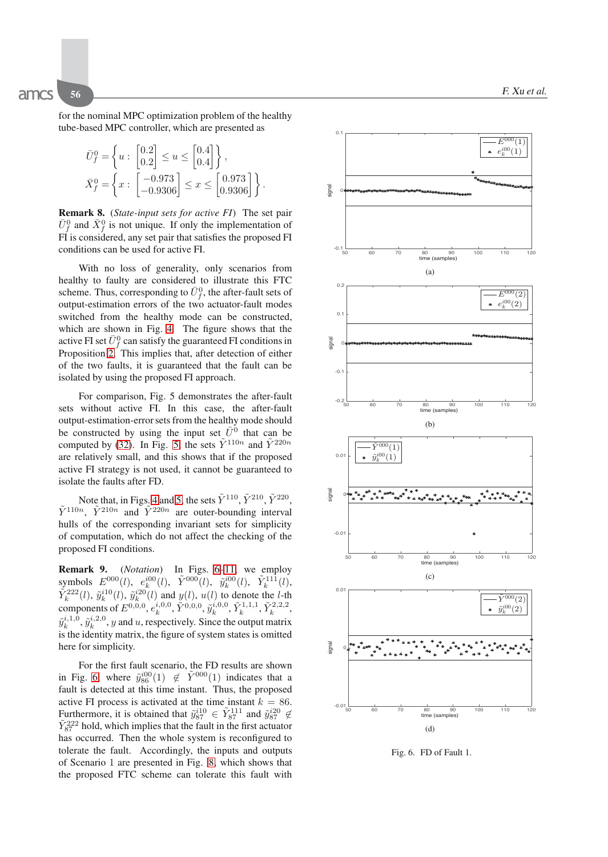amcs

for the nominal MPC optimization problem of the healthy tube-based MPC controller, which are presented as

$$
\bar{U}_f^0 = \left\{ u : \begin{bmatrix} 0.2 \\ 0.2 \end{bmatrix} \le u \le \begin{bmatrix} 0.4 \\ 0.4 \end{bmatrix} \right\},\
$$

$$
\bar{X}_f^0 = \left\{ x : \begin{bmatrix} -0.973 \\ -0.9306 \end{bmatrix} \le x \le \begin{bmatrix} 0.973 \\ 0.9306 \end{bmatrix} \right\}.
$$

**Remark 8.** (*State-input sets for active FI*) The set pair  $\bar{U}_f^0$  and  $\bar{X}_f^0$  is not unique. If only the implementation of FI is considered, any set pair that satisfies the proposed FI conditions can be used for active FI.

With no loss of generality, only scenarios from healthy to faulty are considered to illustrate this FTC scheme. Thus, corresponding to  $\bar{U}_f^0$ , the after-fault sets of output-estimation errors of the two actuator-fault modes switched from the healthy mode can be constructed, which are shown in Fig. 4. The figure shows that the active FI set  $\bar{U}_{f}^{0}$  can satisfy the guaranteed FI conditions in Proposition 2. This implies that, after detection of either of the two faults, it is guaranteed that the fault can be isolated by using the proposed FI approach.

For comparison, Fig. 5 demonstrates the after-fault sets without active FI. In this case, the after-fault output-estimation-error sets from the healthy mode should be constructed by using the input set  $\bar{U}^0$  that can be computed by (32). In Fig. 5, the sets  $\tilde{Y}^{110n}$  and  $\tilde{Y}^{220n}$ are relatively small, and this shows that if the proposed active FI strategy is not used, it cannot be guaranteed to isolate the faults after FD.

Note that, in Figs. 4 and 5, the sets  $\tilde{Y}^{110}$ ,  $\tilde{Y}^{210}$ ,  $\tilde{Y}^{220}$ ,  $\tilde{Y}^{110n}$ ,  $\tilde{Y}^{210n}$  and  $\tilde{Y}^{220n}$  are outer-bounding interval hulls of the corresponding invariant sets for simplicity of computation, which do not affect the checking of the proposed FI conditions.

**Remark 9.** (*Notation*) In Figs. 6–11, we employ symbols  $E^{000}(l)$ ,  $e_k^{i00}(l)$ ,  $\tilde{Y}^{000}(l)$ ,  $\tilde{y}_k^{i00}(l)$ ,  $\tilde{Y}_k^{111}(l)$ ,  $\tilde{Y}_{k}^{222}(l)$ ,  $\tilde{y}_{k}^{i10}(l)$ ,  $\tilde{y}_{k}^{i20}(l)$  and  $y(l)$ ,  $u(l)$  to denote the *l*-th components of  $E^{0,0,0}, e^{i,0,0}_k, \tilde{Y}^{0,0,0}, \tilde{y}^{i,0,0}_k, \tilde{Y}^{1,1,1}_k, \tilde{Y}^{2,2,2}_k$  $\tilde{y}_k^{i,1,\overline{0}}, \tilde{y}_k^{i,2,0}, y$  and u, respectively. Since the output matrix is the identity matrix, the figure of system states is omitted here for simplicity.

For the first fault scenario, the FD results are shown in Fig. 6, where  $\tilde{y}_{86}^{i00}(1) \not\in \tilde{Y}^{000}(1)$  indicates that a fault is detected at this time instant. Thus, the proposed active FI process is activated at the time instant  $k = 86$ . Furthermore, it is obtained that  $\tilde{y}_{87}^{i10} \in \tilde{Y}_{87}^{111}$  and  $\tilde{y}_{87}^{i20} \notin$  $\tilde{Y}_{87}^{222}$  hold, which implies that the fault in the first actuator has occurred. Then the whole system is reconfigured to tolerate the fault. Accordingly, the inputs and outputs of Scenario 1 are presented in Fig. 8, which shows that the proposed FTC scheme can tolerate this fault with



Fig. 6. FD of Fault 1.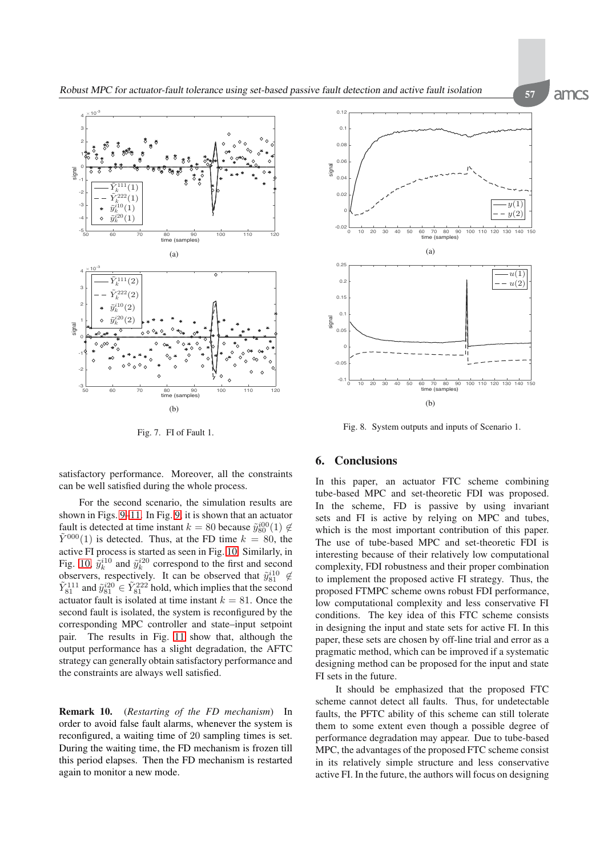

Fig. 7. FI of Fault 1.

satisfactory performance. Moreover, all the constraints can be well satisfied during the whole process.

For the second scenario, the simulation results are shown in Figs. 9–11. In Fig. 9, it is shown that an actuator fault is detected at time instant  $k = 80$  because  $\tilde{y}_{80}^{i00}(1) \notin$  $\tilde{Y}^{000}(1)$  is detected. Thus, at the FD time  $k = 80$ , the active FI process is started as seen in Fig. 10. Similarly, in Fig. 10,  $\tilde{y}_k^{i10}$  and  $\tilde{y}_k^{i20}$  correspond to the first and second observers, respectively. It can be observed that  $\tilde{y}_{81}^{i10} \notin$  $\tilde{Y}_{81}^{111}$  and  $\tilde{y}_{81}^{i20} \in \tilde{Y}_{81}^{222}$  hold, which implies that the second actuator fault is isolated at time instant  $k = 81$ . Once the second fault is isolated, the system is reconfigured by the corresponding MPC controller and state–input setpoint pair. The results in Fig. 11 show that, although the output performance has a slight degradation, the AFTC strategy can generally obtain satisfactory performance and the constraints are always well satisfied.

**Remark 10.** (*Restarting of the FD mechanism*) In order to avoid false fault alarms, whenever the system is reconfigured, a waiting time of 20 sampling times is set. During the waiting time, the FD mechanism is frozen till this period elapses. Then the FD mechanism is restarted again to monitor a new mode.



Fig. 8. System outputs and inputs of Scenario 1.

#### **6. Conclusions**

In this paper, an actuator FTC scheme combining tube-based MPC and set-theoretic FDI was proposed. In the scheme, FD is passive by using invariant sets and FI is active by relying on MPC and tubes, which is the most important contribution of this paper. The use of tube-based MPC and set-theoretic FDI is interesting because of their relatively low computational complexity, FDI robustness and their proper combination to implement the proposed active FI strategy. Thus, the proposed FTMPC scheme owns robust FDI performance, low computational complexity and less conservative FI conditions. The key idea of this FTC scheme consists in designing the input and state sets for active FI. In this paper, these sets are chosen by off-line trial and error as a pragmatic method, which can be improved if a systematic designing method can be proposed for the input and state FI sets in the future.

It should be emphasized that the proposed FTC scheme cannot detect all faults. Thus, for undetectable faults, the PFTC ability of this scheme can still tolerate them to some extent even though a possible degree of performance degradation may appear. Due to tube-based MPC, the advantages of the proposed FTC scheme consist in its relatively simple structure and less conservative active FI. In the future, the authors will focus on designing

amcs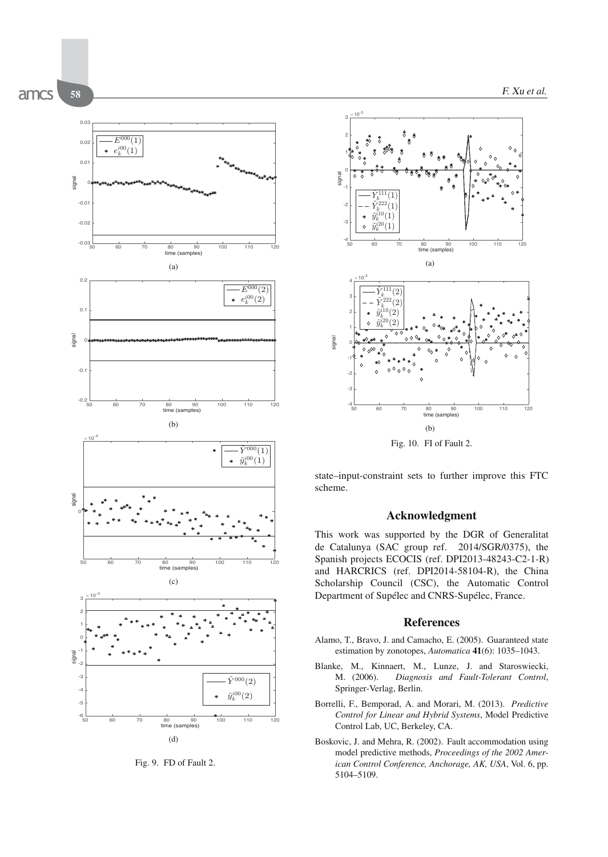

Fig. 9. FD of Fault 2.



Fig. 10. FI of Fault 2.

state–input-constraint sets to further improve this FTC scheme.

## **Acknowledgment**

This work was supported by the DGR of Generalitat de Catalunya (SAC group ref. 2014/SGR/0375), the Spanish projects ECOCIS (ref. DPI2013-48243-C2-1-R) and HARCRICS (ref. DPI2014-58104-R), the China Scholarship Council (CSC), the Automatic Control Department of Supélec and CNRS-Supélec, France.

#### **References**

- Alamo, T., Bravo, J. and Camacho, E. (2005). Guaranteed state estimation by zonotopes, *Automatica* **41**(6): 1035–1043.
- Blanke, M., Kinnaert, M., Lunze, J. and Staroswiecki, M. (2006). *Diagnosis and Fault-Tolerant Control*, Springer-Verlag, Berlin.
- Borrelli, F., Bemporad, A. and Morari, M. (2013). *Predictive Control for Linear and Hybrid Systems*, Model Predictive Control Lab, UC, Berkeley, CA.
- Boskovic, J. and Mehra, R. (2002). Fault accommodation using model predictive methods, *Proceedings of the 2002 American Control Conference, Anchorage, AK, USA*, Vol. 6, pp. 5104–5109.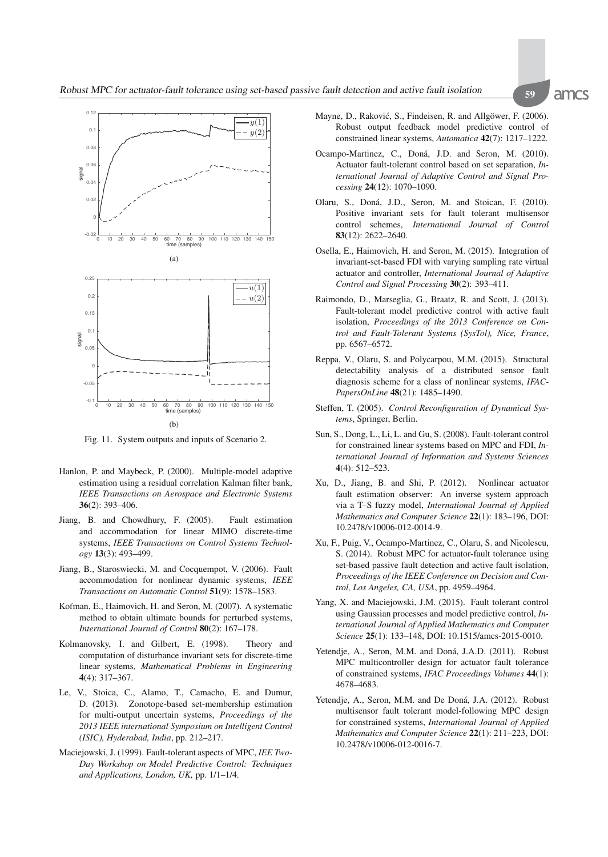

Fig. 11. System outputs and inputs of Scenario 2.

- Hanlon, P. and Maybeck, P. (2000). Multiple-model adaptive estimation using a residual correlation Kalman filter bank, *IEEE Transactions on Aerospace and Electronic Systems* **36**(2): 393–406.
- Jiang, B. and Chowdhury, F. (2005). Fault estimation and accommodation for linear MIMO discrete-time systems, *IEEE Transactions on Control Systems Technology* **13**(3): 493–499.
- Jiang, B., Staroswiecki, M. and Cocquempot, V. (2006). Fault accommodation for nonlinear dynamic systems, *IEEE Transactions on Automatic Control* **51**(9): 1578–1583.
- Kofman, E., Haimovich, H. and Seron, M. (2007). A systematic method to obtain ultimate bounds for perturbed systems, *International Journal of Control* **80**(2): 167–178.
- Kolmanovsky, I. and Gilbert, E. (1998). Theory and computation of disturbance invariant sets for discrete-time linear systems, *Mathematical Problems in Engineering* **4**(4): 317–367.
- Le, V., Stoica, C., Alamo, T., Camacho, E. and Dumur, D. (2013). Zonotope-based set-membership estimation for multi-output uncertain systems, *Proceedings of the 2013 IEEE international Symposium on Intelligent Control (ISIC), Hyderabad, India*, pp. 212–217.
- Maciejowski, J. (1999). Fault-tolerant aspects of MPC, *IEE Two-Day Workshop on Model Predictive Control: Techniques and Applications, London, UK,* pp. 1/1–1/4.
- Mayne, D., Raković, S., Findeisen, R. and Allgöwer, F. (2006). Robust output feedback model predictive control of constrained linear systems, *Automatica* **42**(7): 1217–1222.
- Ocampo-Martinez, C., Doná, J.D. and Seron, M. (2010). Actuator fault-tolerant control based on set separation, *International Journal of Adaptive Control and Signal Processing* **24**(12): 1070–1090.
- Olaru, S., Doná, J.D., Seron, M. and Stoican, F. (2010). Positive invariant sets for fault tolerant multisensor control schemes, *International Journal of Control* **83**(12): 2622–2640.
- Osella, E., Haimovich, H. and Seron, M. (2015). Integration of invariant-set-based FDI with varying sampling rate virtual actuator and controller, *International Journal of Adaptive Control and Signal Processing* **30**(2): 393–411.
- Raimondo, D., Marseglia, G., Braatz, R. and Scott, J. (2013). Fault-tolerant model predictive control with active fault isolation, *Proceedings of the 2013 Conference on Control and Fault-Tolerant Systems (SysTol), Nice, France*, pp. 6567–6572.
- Reppa, V., Olaru, S. and Polycarpou, M.M. (2015). Structural detectability analysis of a distributed sensor fault diagnosis scheme for a class of nonlinear systems, *IFAC-PapersOnLine* **48**(21): 1485–1490.
- Steffen, T. (2005). *Control Reconfiguration of Dynamical Systems*, Springer, Berlin.
- Sun, S., Dong, L., Li, L. and Gu, S. (2008). Fault-tolerant control for constrained linear systems based on MPC and FDI, *International Journal of Information and Systems Sciences* **4**(4): 512–523.
- Xu, D., Jiang, B. and Shi, P. (2012). Nonlinear actuator fault estimation observer: An inverse system approach via a T–S fuzzy model, *International Journal of Applied Mathematics and Computer Science* **22**(1): 183–196, DOI: 10.2478/v10006-012-0014-9.
- Xu, F., Puig, V., Ocampo-Martinez, C., Olaru, S. and Nicolescu, S. (2014). Robust MPC for actuator-fault tolerance using set-based passive fault detection and active fault isolation, *Proceedings of the IEEE Conference on Decision and Control, Los Angeles, CA, USA*, pp. 4959–4964.
- Yang, X. and Maciejowski, J.M. (2015). Fault tolerant control using Gaussian processes and model predictive control, *International Journal of Applied Mathematics and Computer Science* **25**(1): 133–148, DOI: 10.1515/amcs-2015-0010.
- Yetendje, A., Seron, M.M. and Doná, J.A.D. (2011). Robust MPC multicontroller design for actuator fault tolerance of constrained systems, *IFAC Proceedings Volumes* **44**(1): 4678–4683.
- Yetendje, A., Seron, M.M. and De Doná, J.A. (2012). Robust multisensor fault tolerant model-following MPC design for constrained systems, *International Journal of Applied Mathematics and Computer Science* **22**(1): 211–223, DOI: 10.2478/v10006-012-0016-7.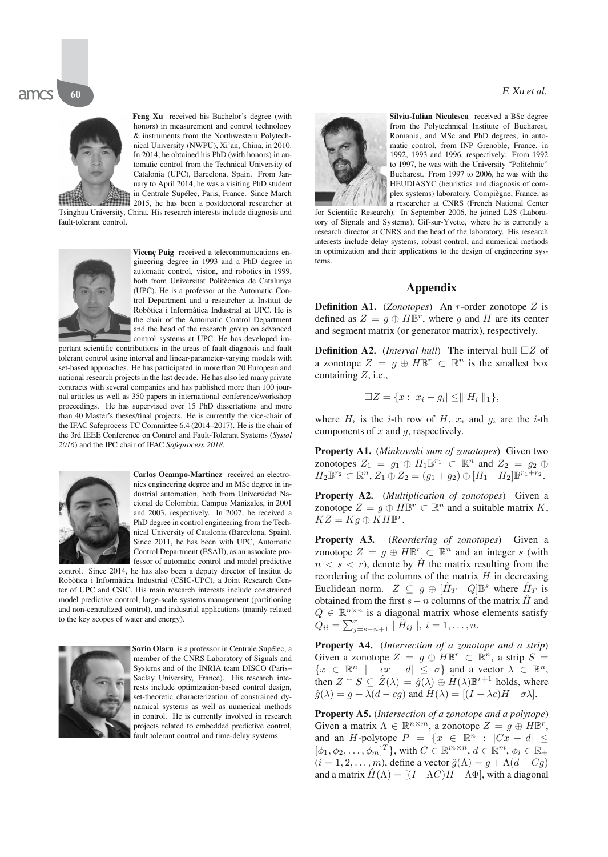

**Feng Xu** received his Bachelor's degree (with honors) in measurement and control technology & instruments from the Northwestern Polytechnical University (NWPU), Xi'an, China, in 2010. In 2014, he obtained his PhD (with honors) in automatic control from the Technical University of Catalonia (UPC), Barcelona, Spain. From January to April 2014, he was a visiting PhD student in Centrale Supélec, Paris, France. Since March 2015, he has been a postdoctoral researcher at

Tsinghua University, China. His research interests include diagnosis and fault-tolerant control.



**Vicenç Puig** received a telecommunications engineering degree in 1993 and a PhD degree in automatic control, vision, and robotics in 1999, both from Universitat Politècnica de Catalunya (UPC). He is a professor at the Automatic Control Department and a researcher at Institut de Robòtica i Informàtica Industrial at UPC. He is the chair of the Automatic Control Department and the head of the research group on advanced control systems at UPC. He has developed im-

portant scientific contributions in the areas of fault diagnosis and fault tolerant control using interval and linear-parameter-varying models with set-based approaches. He has participated in more than 20 European and national research projects in the last decade. He has also led many private contracts with several companies and has published more than 100 journal articles as well as 350 papers in international conference/workshop proceedings. He has supervised over 15 PhD dissertations and more than 40 Master's theses/final projects. He is currently the vice-chair of the IFAC Safeprocess TC Committee 6.4 (2014–2017). He is the chair of the 3rd IEEE Conference on Control and Fault-Tolerant Systems (*Systol 2016*) and the IPC chair of IFAC *Safeprocess 2018*.

**Carlos Ocampo-Martinez** received an electronics engineering degree and an MSc degree in industrial automation, both from Universidad Nacional de Colombia, Campus Manizales, in 2001 and 2003, respectively. In 2007, he received a PhD degree in control engineering from the Technical University of Catalonia (Barcelona, Spain). Since 2011, he has been with UPC, Automatic Control Department (ESAII), as an associate professor of automatic control and model predictive

control. Since 2014, he has also been a deputy director of Institut de Robòtica i Informàtica Industrial (CSIC-UPC), a Joint Research Center of UPC and CSIC. His main research interests include constrained model predictive control, large-scale systems management (partitioning and non-centralized control), and industrial applications (mainly related to the key scopes of water and energy).



**Sorin Olaru** is a professor in Centrale Supélec, a member of the CNRS Laboratory of Signals and Systems and of the INRIA team DISCO (Paris– Saclay University, France). His research interests include optimization-based control design, set-theoretic characterization of constrained dynamical systems as well as numerical methods in control. He is currently involved in research projects related to embedded predictive control, fault tolerant control and time-delay systems.



**Silviu-Iulian Niculescu** received a BSc degree from the Polytechnical Institute of Bucharest, Romania, and MSc and PhD degrees, in automatic control, from INP Grenoble, France, in 1992, 1993 and 1996, respectively. From 1992 to 1997, he was with the University "Politehnic" Bucharest. From 1997 to 2006, he was with the HEUDIASYC (heuristics and diagnosis of complex systems) laboratory, Compiègne, France, as a researcher at CNRS (French National Center

for Scientific Research). In September 2006, he joined L2S (Laboratory of Signals and Systems), Gif-sur-Yvette, where he is currently a research director at CNRS and the head of the laboratory. His research interests include delay systems, robust control, and numerical methods in optimization and their applications to the design of engineering systems.

### **Appendix**

**Definition A1.** (*Zonotopes*) An r-order zonotope Z is defined as  $Z = g \oplus H\mathbb{B}^r$ , where g and H are its center and segment matrix (or generator matrix), respectively.

**Definition A2.** (*Interval hull*) The interval hull  $\Box Z$  of a zonotope  $Z = q \oplus H\mathbb{B}^r \subset \mathbb{R}^n$  is the smallest box containing  $Z$ , i.e.,

$$
\Box Z = \{x : |x_i - g_i| \le ||H_i||_1\},\
$$

where  $H_i$  is the *i*-th row of H,  $x_i$  and  $q_i$  are the *i*-th components of  $x$  and  $q$ , respectively.

**Property A1.** (*Minkowski sum of zonotopes*) Given two zonotopes  $Z_1 = g_1 \oplus H_1 \mathbb{B}^{r_1} \subset \mathbb{R}^n$  and  $Z_2 = g_2 \oplus$  $H_2 \mathbb{B}^{r_2} \subset \mathbb{R}^n$ ,  $Z_1 \oplus Z_2 = (g_1 + g_2) \oplus [H_1 \quad H_2] \mathbb{B}^{r_1 + r_2}$ .

**Property A2.** (*Multiplication of zonotopes*) Given a zonotope  $Z = g \oplus H \mathbb{B}^r \subset \mathbb{R}^n$  and a suitable matrix K,  $KZ = Kq \oplus KH \mathbb{B}^r$ .

**Property A3.** (*Reordering of zonotopes*) Given a zonotope  $Z = g \oplus H \mathbb{B}^r \subset \mathbb{R}^n$  and an integer s (with  $n < s < r$ ), denote by  $\hat{H}$  the matrix resulting from the reordering of the columns of the matrix  $H$  in decreasing Euclidean norm.  $Z \subseteq g \oplus [\hat{H}_T \ Q] \mathbb{B}^s$  where  $\hat{H}_T$  is obtained from the first  $s - n$  columns of the matrix  $\hat{H}$  and  $Q \in \mathbb{R}^{n \times n}$  is a diagonal matrix whose elements satisfy  $Q_{ii} = \sum_{j=s-n+1}^{r} |\hat{H}_{ij}|, i = 1, ..., n.$ 

**Property A4.** (*Intersection of a zonotope and a strip*) Given a zonotope  $Z = g \oplus H \mathbb{B}^r \subset \mathbb{R}^n$ , a strip  $S =$  ${x \in \mathbb{R}^n \mid |cx - d| \leq \sigma}$  and a vector  $\lambda \in \mathbb{R}^n$ , then  $Z \cap S \subseteq \hat{Z}(\lambda) = \hat{g}(\lambda) \oplus \hat{H}(\lambda)\mathbb{B}^{r+1}$  holds, where  $\hat{g}(\lambda) = g + \lambda(d - cg)$  and  $\hat{H}(\lambda) = [(I - \lambda c)H \quad \sigma \lambda].$ 

**Property A5.** (*Intersection of a zonotope and a polytope*) Given a matrix  $\Lambda \in \mathbb{R}^{n \times m}$ , a zonotope  $Z = g \oplus H \mathbb{B}^r$ , and an H-polytope  $P = \{x \in \mathbb{R}^n : |Cx - d| \leq$  $[\phi_1, \phi_2, \ldots, \phi_m]^T$ , with  $C \in \mathbb{R}^{m \times n}$ ,  $d \in \mathbb{R}^m$ ,  $\phi_i \in \mathbb{R}_+$  $(i = 1, 2, \ldots, m)$ , define a vector  $\hat{g}(\Lambda) = g + \Lambda(d - Cg)$ and a matrix  $\hat{H}(\Lambda) = [(I - \Lambda C)H \Lambda \Phi]$ , with a diagonal